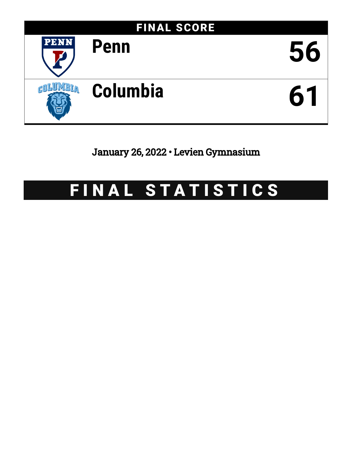

January 26, 2022 • Levien Gymnasium

# FINAL STATISTICS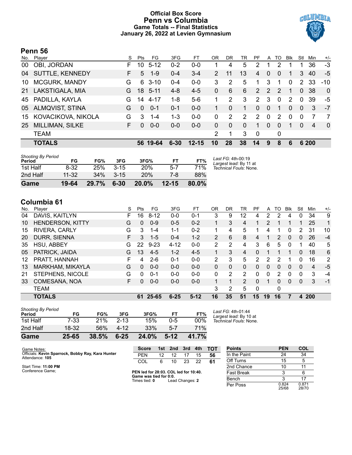# **Official Box Score Penn vs Columbia Game Totals -- Final Statistics January 26, 2022 at Levien Gymnasium**



# **Penn 56**

| No. | Plaver                 | S  | Pts      | FG.      | 3FG      | FT        | OR            | DR       | TR       | PF             | A        | TO.           | <b>Blk</b> | Stl            | Min            | $+/-$          |
|-----|------------------------|----|----------|----------|----------|-----------|---------------|----------|----------|----------------|----------|---------------|------------|----------------|----------------|----------------|
| 00  | OBI, JORDAN            | F. | 10       | $5 - 12$ | $0 - 2$  | $0 - 0$   |               | 4        | 5        | 2              |          | 2             |            |                | 36             | $-3$           |
| 04  | <b>SUTTLE, KENNEDY</b> | F. | 5        | $1-9$    | $0 - 4$  | $3 - 4$   | $\mathcal{P}$ | 11       | 13       | $\overline{4}$ | $\Omega$ | $\Omega$      |            | 3              | 40             | $-5$           |
| 10  | <b>MCGURK, MANDY</b>   | G  | 6        | $3 - 10$ | $0 - 4$  | $0-0$     | 3             | 2        | 5        | 1              | 3        | 1             | 0          |                | 2 33           | $-10^{-}$      |
| 21  | LAKSTIGALA, MIA        | G. | 18       | $5 - 11$ | 4-8      | $4 - 5$   | 0             | 6        | 6        | 2              | 2        | $\mathcal{P}$ | -1         | $\overline{0}$ | 38             | $\Omega$       |
| 45  | PADILLA, KAYLA         | G  | 14       | $4 - 17$ | $1 - 8$  | $5-6$     |               | 2        | 3        | $\overline{2}$ | 3        | $\mathbf 0$   | 2          | $\Omega$       | 39             | -5             |
| 05  | <b>ALMQVIST, STINA</b> | G  | $\Omega$ | $0 - 1$  | $0 - 1$  | $0 - 0$   |               | 0        | 1        | $\Omega$       | $\Omega$ | 1             | $\Omega$   | $\Omega$       | 3              | $-7$           |
| 15  | KOVACIKOVA, NIKOLA     | G  | 3        | 1-4      | $1 - 3$  | $0 - 0$   | 0             | 2        | 2        | $\mathcal{P}$  | $\Omega$ | 2             | $\Omega$   | 0              | 7              | $\overline{7}$ |
| 25  | <b>MILLIMAN, SILKE</b> | F. | $\Omega$ | $0 - 0$  | $0 - 0$  | $0 - 0$   | 0             | $\Omega$ | $\Omega$ | 1              | $\Omega$ | $\Omega$      | 1          | $\Omega$       | $\overline{4}$ | $\overline{0}$ |
|     | <b>TEAM</b>            |    |          |          |          |           | 2             | 1        | 3        | $\Omega$       |          | 0             |            |                |                |                |
|     | <b>TOTALS</b>          |    |          | 56 19-64 | $6 - 30$ | $12 - 15$ | 10            | 28       | 38       | 14             | 9        | 8             | 6          |                | 6 200          |                |
|     |                        |    |          |          |          |           |               |          |          |                |          |               |            |                |                |                |

| <b>Shooting By Period</b><br>Period | FG        | FG%    | 3FG      | 3FG%       | FТ        | FT%   | Last FG: 4th-00:19<br>Largest lead: By 11 at |
|-------------------------------------|-----------|--------|----------|------------|-----------|-------|----------------------------------------------|
| 1st Half                            | 8-32      | 25%    | $3 - 15$ | <b>20%</b> | $5 - 7$   | 71%   | Technical Fouls: None.                       |
| 2nd Half                            | $11 - 32$ | $34\%$ | $3 - 15$ | 20%        | 7-8       | 88%   |                                              |
| Game                                | 19-64     | 29.7%  | $6 - 30$ | $20.0\%$   | $12 - 15$ | 80.0% |                                              |

# **Columbia 61**

| No. | Player                  | S  | Pts | FG       | 3FG      | FT      | 0 <sub>R</sub> | DR | TR            | PF             | A            | TO             | <b>B</b> lk  | Stl      | Min            | $+/-$          |
|-----|-------------------------|----|-----|----------|----------|---------|----------------|----|---------------|----------------|--------------|----------------|--------------|----------|----------------|----------------|
| 04  | DAVIS, KAITLYN          | F  | 16  | $8 - 12$ | $0-0$    | $0 - 1$ | 3              | 9  | 12            | 4              | 2            | 2              | 4            | 0        | 34             | 9              |
| 10  | <b>HENDERSON, KITTY</b> | G  | 0   | $0 - 9$  | $0 - 5$  | $0 - 2$ |                | 3  | 4             |                | 2            |                |              |          | 25             | 1              |
| 15  | RIVERA, CARLY           | G  | 3   | $1 - 4$  | $1 - 1$  | $0 - 2$ | 1.             | 4  | 5             |                | 4            | 1              | 0            | 2        | 31             | 10             |
| 20  | DURR, SIENNA            | F. | 3   | $1 - 5$  | $0 - 4$  | $1 - 2$ | $\overline{2}$ | 6  | 8             | 4              | 1            | $\overline{2}$ | $\Omega$     | 0        | 26             | $-4$           |
| 35  | HSU, ABBEY              | G  | 22  | $9 - 23$ | $4 - 12$ | $0 - 0$ | 2              | 2  | 4             | 3              | 6            | 5              | 0            |          | 40             | 5              |
| 05  | PATRICK, JAIDA          | G  | 13  | $4 - 5$  | $1 - 2$  | $4 - 5$ |                | 3  | 4             | 0              |              |                |              | $\Omega$ | 18             | 6              |
| 12  | PRATT, HANNAH           | F  | 4   | $2 - 6$  | $0 - 1$  | $0 - 0$ | 2              | 3  | 5             | $\overline{2}$ | 2            | 2              |              | 0        | 16             | $\overline{2}$ |
| 13  | MARKHAM, MIKAYLA        | G  | 0   | $0 - 0$  | $0 - 0$  | $0 - 0$ | 0              | 0  | 0             | 0              | $\mathbf{0}$ | 0              | $\mathbf{0}$ | $\Omega$ | $\overline{4}$ | -5             |
| 21  | STEPHENS, NICOLE        | G  | 0   | $0 - 1$  | $0 - 0$  | $0 - 0$ | 0              | 2  | 2             | 0              | 0            | 2              | $\Omega$     | 0        | 3              | -4             |
| 33  | COMESAÑA, NOA           | F. | 0   | $0 - 0$  | $0 - 0$  | $0 - 0$ |                |    | $\mathcal{P}$ | 0              | 1            | 0              | $\Omega$     | $\Omega$ | 3              | $-1$           |
|     | <b>TEAM</b>             |    |     |          |          |         | 3              | 2  | 5             | $\Omega$       |              | 0              |              |          |                |                |
|     | <b>TOTALS</b>           |    | 61  | 25-65    | $6 - 25$ | $5-12$  | 16             | 35 | 51            | 15             | 19           | 16             |              | 4        | <b>200</b>     |                |
|     |                         |    |     |          |          |         |                |    |               |                |              |                |              |          |                |                |

| Game                                | 25-65  | 38.5% | $6 - 25$ | 24.0% | $5-12$  | 41.7% |              |
|-------------------------------------|--------|-------|----------|-------|---------|-------|--------------|
| 2nd Half                            | 18-32  | 56%   | $4 - 12$ | 33%   | $5 - 7$ | 71%   |              |
| 1st Half                            | $7-33$ | 21%   | $2 - 13$ | 15%   | $0 - 5$ | 00%   | Tech         |
| <b>Shooting By Period</b><br>Period | FG     | FG%   | 3FG      | 3FG%  | FT      | FT%   | Last<br>Larg |

*Last FG:* 4th-01:44 *Largest lead:* By 10 at *Technical Fouls:* None.

| Game Notes:                                                          | Score                                   | 1st | 2nd             | 3rd | 4th | тот | <b>Points</b>     | <b>PEN</b>     | <b>COL</b>     |
|----------------------------------------------------------------------|-----------------------------------------|-----|-----------------|-----|-----|-----|-------------------|----------------|----------------|
| Officials: Kevin Sparrock, Bobby Ray, Kara Hunter<br>Attendance: 105 | <b>PEN</b>                              | 12  |                 |     | 15  | 56  | In the Paint      | 24             | 34             |
|                                                                      | COL                                     |     | 10              | 23  | 22  | -61 | Off Turns         | 15             |                |
| Start Time: 11:00 PM                                                 |                                         |     |                 |     |     |     | 2nd Chance        |                |                |
| Conference Game;                                                     | PEN led for 28:03, COL led for 10:40.   |     |                 |     |     |     | <b>Fast Break</b> |                |                |
|                                                                      | Game was tied for 0:0.<br>Times tied: 0 |     | Lead Changes: 2 |     |     |     | Bench             |                | -17            |
|                                                                      |                                         |     |                 |     |     |     | Per Poss          | 0.824<br>25/68 | 0.871<br>28/70 |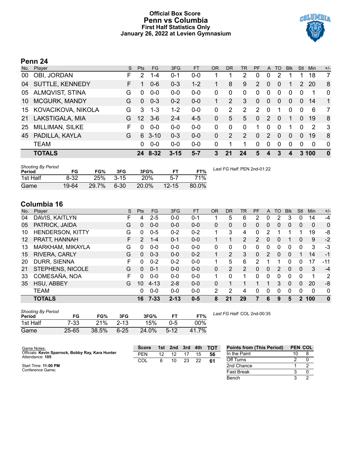# **Official Box Score Penn vs Columbia First Half Statistics Only January 26, 2022 at Levien Gymnasium**



# **Penn 24**

| No. | Player                 | S  | <b>Pts</b> | FG       | 3FG      | <b>FT</b> | OR           | <b>DR</b> | TR       | PF           | A              | TO             | <b>B</b> lk | Stl            | Min           | $+/-$        |
|-----|------------------------|----|------------|----------|----------|-----------|--------------|-----------|----------|--------------|----------------|----------------|-------------|----------------|---------------|--------------|
| 00  | OBI, JORDAN            | F  | 2          | $1 - 4$  | $0 - 1$  | $0 - 0$   |              |           | 2        | 0            | 0              | っ              |             |                | 18            | 7            |
| 04  | <b>SUTTLE, KENNEDY</b> | F. |            | $0 - 6$  | $0 - 3$  | $1 - 2$   |              | 8         | 9        | 2            | $\overline{0}$ | $\overline{0}$ |             | $\overline{2}$ | 20            | 8            |
| 05  | <b>ALMQVIST, STINA</b> | G  | 0          | $0 - 0$  | $0 - 0$  | $0 - 0$   | $\Omega$     | 0         | $\Omega$ | 0            | 0              | $\Omega$       | $\Omega$    | $\Omega$       | 1             | $\Omega$     |
| 10  | MCGURK, MANDY          | G  | $\Omega$   | $0 - 3$  | $0 - 2$  | $0 - 0$   |              | 2         | 3        | $\mathbf{0}$ | $\overline{0}$ | $\overline{0}$ | $\Omega$    | $\Omega$       | 14            | $\mathbf{1}$ |
| 15  | KOVACIKOVA, NIKOLA     | G  | 3          | $1 - 3$  | $1 - 2$  | $0 - 0$   | 0            | 2         | 2        | 2            | $\Omega$       | -1             | $\Omega$    | $\Omega$       | 6             | 7            |
| 21  | LAKSTIGALA, MIA        | G  | 12         | $3-6$    | $2 - 4$  | $4 - 5$   | $\mathbf{0}$ | 5         | 5        | $\mathbf{0}$ | 2              | 0              |             | $\Omega$       | 19            | 8            |
| 25  | MILLIMAN, SILKE        | F  | 0          | $0 - 0$  | $0 - 0$  | $0 - 0$   | $\Omega$     | $\Omega$  | $\Omega$ | 1.           | $\Omega$       | $\Omega$       |             | $\Omega$       | $\mathcal{P}$ | 3            |
| 45  | PADILLA, KAYLA         | G  | 6          | $3 - 10$ | $0 - 3$  | $0 - 0$   | $\Omega$     | 2         | 2        | $\Omega$     | $\mathcal{P}$  | 0              | $\Omega$    | $\Omega$       | 19            | 8            |
|     | <b>TEAM</b>            |    | 0          | $0 - 0$  | $0 - 0$  | $0 - 0$   | $\Omega$     | 1         |          | $\Omega$     | $\Omega$       | $\Omega$       | $\Omega$    | $\Omega$       | $\Omega$      | $\Omega$     |
|     | <b>TOTALS</b>          |    |            | 24 8-32  | $3 - 15$ | $5 - 7$   | 3            | 21        | 24       | 5            |                | 3              | 4           | 3              | 100           | $\mathbf{0}$ |

| <b>Shooting By Period</b><br>Period | FG       | FG%   | 3FG    | 3FG%  | FТ        | FT%   | Last FG Half: PEN 2nd-01:22 |
|-------------------------------------|----------|-------|--------|-------|-----------|-------|-----------------------------|
| 1st Half                            | $8 - 32$ | 25%   | $3-15$ | 20%   | 5-7       | 71%   |                             |
| Game                                | 19-64    | 29.7% | 6-30   | 20.0% | $12 - 15$ | 80.0% |                             |

# **Columbia 16**

| No.               | Plaver                  | S | <b>Pts</b>    | <b>FG</b> | 3FG      | <b>FT</b> | <b>OR</b>    | <b>DR</b> | TR             | PF            | A | TO | <b>B</b> lk    | Stl            | Min | $+/-$        |
|-------------------|-------------------------|---|---------------|-----------|----------|-----------|--------------|-----------|----------------|---------------|---|----|----------------|----------------|-----|--------------|
| 04                | DAVIS, KAITLYN          |   | 4             | $2 - 5$   | $0 - 0$  | $0 - 1$   |              | 5         | 6              | 2             | 0 | 2  | 3              | 0              | 14  | $-4$         |
| 05                | PATRICK, JAIDA          | G | 0             | $0 - 0$   | $0 - 0$  | $0 - 0$   | 0            | 0         | $\mathbf{0}$   | 0             | 0 | 0  | $\overline{0}$ | 0              | 0   | $\mathbf{0}$ |
| 10                | <b>HENDERSON, KITTY</b> | G | 0             | $0 - 5$   | $0 - 2$  | $0 - 2$   | 1            | 3         | 4              | 0             | 2 |    |                |                | 19  | -8           |
| $12 \overline{ }$ | PRATT, HANNAH           | F | $\mathcal{P}$ | $1 - 4$   | $0 - 1$  | $0 - 0$   | 1.           | 1         | $\overline{2}$ | $\mathcal{P}$ | 0 | 0  |                | $\Omega$       | 9   | $-2$         |
| 13                | MARKHAM, MIKAYLA        | G | 0             | $0 - 0$   | $0 - 0$  | $0 - 0$   | $\mathbf{0}$ | 0         | $\Omega$       | $\Omega$      | 0 | 0  | 0              | 0              | 3   | -3           |
| 15                | RIVERA, CARLY           | G | $\Omega$      | $0 - 3$   | $0 - 0$  | $0 - 2$   |              | 2         | 3              | $\Omega$      | 2 | 0  | $\Omega$       |                | 14  | $-1$         |
| 20                | DURR, SIENNA            | F | 0             | $0 - 2$   | $0 - 2$  | $0 - 0$   |              | 5         | 6              | 2             |   |    | 0              | 0              | 17  | $-11$        |
| 21                | STEPHENS, NICOLE        | G | 0             | $0 - 1$   | $0 - 0$  | $0 - 0$   | 0            | 2         | $\overline{2}$ | $\Omega$      | 0 | 2  | $\mathbf{0}$   | 0              | 3   | $-4$         |
| 33                | COMESAÑA, NOA           | F | 0             | $0 - 0$   | $0 - 0$  | $0-0$     | 1            | 0         |                | 0             | 0 | 0  | 0              | 0              | 1   | 2            |
| 35                | HSU, ABBEY              | G | 10            | $4 - 13$  | $2 - 8$  | $0 - 0$   | $\Omega$     |           |                |               | 1 | 3  | $\mathbf{0}$   | $\Omega$       | 20  | -8           |
|                   | <b>TEAM</b>             |   | 0             | $0 - 0$   | $0 - 0$  | $0 - 0$   | 2            | 2         | 4              | $\Omega$      | 0 | 0  | 0              | 0              | 0   | 0            |
|                   | <b>TOTALS</b>           |   | 16            | $7 - 33$  | $2 - 13$ | $0 - 5$   | 8            | 21        | 29             | 7             | 6 | 9  | 5              | $\overline{2}$ | 100 | $\mathbf{0}$ |

| <b>Shooting By Period</b><br>Period | FG        | FG%   | 3FG      | 3FG%  |          | FT%    |
|-------------------------------------|-----------|-------|----------|-------|----------|--------|
| 1st Half                            | $7-33$    | 21%   | $2 - 13$ | 15%   | $0 - 5$  | $00\%$ |
| Game                                | $25 - 65$ | 38.5% | $6 - 25$ | 24.0% | $5 - 12$ | 41.7%  |

*Last FG Half:* COL 2nd-00:35

| Game Notes:                                                          | <b>Score</b> | 1st | 2nd | 3rd | 4th | <b>TOT</b> | <b>Points from (This Period)</b> | <b>PEN COL</b> |  |
|----------------------------------------------------------------------|--------------|-----|-----|-----|-----|------------|----------------------------------|----------------|--|
| Officials: Kevin Sparrock, Bobby Ray, Kara Hunter<br>Attendance: 105 | <b>PEN</b>   | 12  |     |     | 15  | 56         | In the Paint                     |                |  |
|                                                                      | COL          |     |     | 23  | 22  | 61         | Off Turns                        |                |  |
| Start Time: 11:00 PM                                                 |              |     |     |     |     |            | 2nd Chance                       |                |  |
| Conference Game:                                                     |              |     |     |     |     |            | <b>Fast Break</b>                |                |  |
|                                                                      |              |     |     |     |     |            | Bench                            |                |  |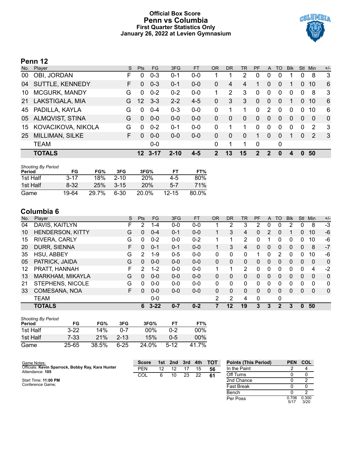# **Official Box Score Penn vs Columbia First Quarter Statistics Only January 26, 2022 at Levien Gymnasium**



# **Penn 12**

| No. | Player                 | S. | <b>Pts</b>      | FG.      | 3FG      | <b>FT</b> | 0R | <b>DR</b> | <b>TR</b> | <b>PF</b> | A              | TO       | <b>Blk</b> | Stl      | Min      | $+/-$        |
|-----|------------------------|----|-----------------|----------|----------|-----------|----|-----------|-----------|-----------|----------------|----------|------------|----------|----------|--------------|
| 00  | OBI, JORDAN            | F  | 0               | $0 - 3$  | $0 - 1$  | $0 - 0$   |    |           | 2         | 0         | 0              | 0        |            | 0        | 8        | 3            |
| 04  | SUTTLE, KENNEDY        | F. | $\Omega$        | $0 - 3$  | $0 - 1$  | $0 - 0$   | 0  | 4         | 4         |           | 0              | 0        |            | 0        | 10       | 6            |
| 10  | <b>MCGURK, MANDY</b>   | G  | $\Omega$        | $0 - 2$  | $0 - 2$  | $0 - 0$   |    | 2         | 3         | $\Omega$  | $\mathbf{0}$   | 0        | 0          | $\Omega$ | 8        | -3           |
| 21  | LAKSTIGALA, MIA        | G. | 12              | $3 - 3$  | $2 - 2$  | $4 - 5$   | 0  | 3         | 3         | $\Omega$  | $\mathbf{0}$   | 0        | 1          | 0        | 10       | 6            |
| 45  | PADILLA, KAYLA         | G  | 0               | $0 - 4$  | $0 - 3$  | $0-0$     | 0  |           | 1         | 0         | 2              | $\Omega$ | 0          | $\Omega$ | 10       | 6            |
| 05  | <b>ALMQVIST, STINA</b> | G  | $\Omega$        | $0 - 0$  | $0-0$    | $0 - 0$   | 0  | $\Omega$  | 0         | 0         | $\overline{0}$ | 0        | 0          | $\Omega$ | $\Omega$ | $\mathbf{0}$ |
| 15  | KOVACIKOVA, NIKOLA     | G  | $\Omega$        | $0 - 2$  | $0 - 1$  | $0 - 0$   | 0  |           | 1         | 0         | $\mathbf{0}$   | 0        | 0          | $\Omega$ | 2        | -3           |
| 25  | MILLIMAN, SILKE        | F. | $\Omega$        | $0 - 0$  | $0 - 0$  | $0 - 0$   | 0  | $\Omega$  | $\Omega$  | 1         | $\Omega$       | 0        | 1          | $\Omega$ | 2        | - 3          |
|     | <b>TEAM</b>            |    |                 | $0-0$    |          |           | 0  | 1         | 1         | $\Omega$  |                | 0        |            |          |          |              |
|     | <b>TOTALS</b>          |    | 12 <sup>°</sup> | $3 - 17$ | $2 - 10$ | $4 - 5$   | 2  | 13        | 15        | 2         | 2              | O        |            | $\Omega$ | 50       |              |

| <b>Shooting By Period</b><br>Period | FG       | FG%   | 3FG      | 3FG%       | FТ        | FT%        |
|-------------------------------------|----------|-------|----------|------------|-----------|------------|
| 1st Half                            | $3 - 17$ | 18%   | $2 - 10$ | <b>20%</b> | 4-5       | 80%        |
| 1st Half                            | 8-32     | 25%   | $3 - 15$ | <b>20%</b> | $5 - 7$   | <b>71%</b> |
| Game                                | 19-64    | 29.7% | 6-30     | 20.0%      | $12 - 15$ | 80.0%      |

# **Columbia 6**

| No. | Plaver                  | S  | Pts           | FG       | 3FG     | <b>FT</b> | <b>OR</b>    | <b>DR</b> | TR | PF | A              | TO       | <b>Blk</b>     | Stl      | Min      | $+/-$        |
|-----|-------------------------|----|---------------|----------|---------|-----------|--------------|-----------|----|----|----------------|----------|----------------|----------|----------|--------------|
| 04  | DAVIS, KAITLYN          | F. | 2             | 1-4      | $0 - 0$ | $0-0$     |              | 2         | 3  | 2  | 0              | 0        | $\overline{2}$ | 0        | 8        | $-3$         |
| 10  | <b>HENDERSON, KITTY</b> | G  | $\Omega$      | $0 - 4$  | $0 - 1$ | $0 - 0$   |              | 3         | 4  | 0  | 2              | $\Omega$ |                | 0        | 10       | $-6$         |
| 15  | RIVERA, CARLY           | G  | 0             | $0 - 2$  | $0 - 0$ | $0 - 2$   |              |           | 2  | 0  |                | 0        | 0              | 0        | 10       | -6           |
| 20  | DURR, SIENNA            | F. | 0             | $0 - 1$  | 0-1     | $0 - 0$   |              | 3         | 4  | 0  | $\overline{0}$ | 0        | 0              | 0        | 8        | $-7$         |
| 35  | HSU, ABBEY              | G  | $\mathcal{P}$ | 1-9      | $0 - 5$ | $0-0$     | 0            | 0         | 0  |    | 0              | 2        | 0              | 0        | 10       | -6           |
| 05  | PATRICK, JAIDA          | G  | 0             | $0 - 0$  | $0 - 0$ | $0 - 0$   | 0            | 0         | 0  | 0  | 0              | $\Omega$ | 0              | $\Omega$ | 0        | $\Omega$     |
| 12  | PRATT, HANNAH           | F. | 2             | $1 - 2$  | $0 - 0$ | $0 - 0$   | $\mathbf{1}$ | 1         | 2  | 0  | 0              | $\Omega$ | 0              | $\Omega$ | 4        | -2           |
| 13  | MARKHAM, MIKAYLA        | G  | 0             | $0 - 0$  | $0 - 0$ | $0 - 0$   | 0            | 0         | 0  | 0  | $\Omega$       | $\Omega$ | 0              | $\Omega$ | $\Omega$ | $\Omega$     |
| 21  | STEPHENS, NICOLE        | G  | 0             | $0 - 0$  | $0 - 0$ | $0 - 0$   | 0            | 0         | 0  | 0  | 0              | ∩        | 0              | 0        | 0        | 0            |
| 33  | COMESAÑA, NOA           | F. | $\Omega$      | $0 - 0$  | $0 - 0$ | $0 - 0$   | $\Omega$     | 0         | 0  | 0  | $\Omega$       | $\Omega$ | 0              | $\Omega$ | $\Omega$ | $\mathbf{0}$ |
|     | <b>TEAM</b>             |    |               | $0 - 0$  |         |           | 2            | 2         | 4  | 0  |                | 0        |                |          |          |              |
|     | <b>TOTALS</b>           |    | 6             | $3 - 22$ | $0 - 7$ | $0 - 2$   |              | 12        | 19 | 3  | 3              | 2        | 3              | 0        | 50       |              |

| <b>Shooting By Period</b><br>Period | FG       | FG%   | 3FG      | 3FG%   | FТ      | FT%    |
|-------------------------------------|----------|-------|----------|--------|---------|--------|
| 1st Half                            | $3 - 22$ | 14%   | ი-7      | $00\%$ | $0 - 2$ | 00%    |
| 1st Half                            | 7-33     | 21%   | $2 - 13$ | 15%    | $0 - 5$ | $00\%$ |
| Game                                | 25-65    | 38.5% | 6-25     | 24.0%  | $5-12$  | 41 7%  |

| Game Notes:                                                          | <b>Score</b> |    | 1st 2nd | 3rd | 4th | тот | <b>Points (This Period)</b> | PEN COL       |               |
|----------------------------------------------------------------------|--------------|----|---------|-----|-----|-----|-----------------------------|---------------|---------------|
| Officials: Kevin Sparrock, Bobby Ray, Kara Hunter<br>Attendance: 105 | <b>PEN</b>   | 12 | 12      |     | 15  | 56  | In the Paint                |               |               |
|                                                                      | COL          | 6  | 10      | 23  | 22  | -61 | Off Turns                   |               |               |
| Start Time: 11:00 PM                                                 |              |    |         |     |     |     | 2nd Chance                  |               |               |
| Conference Game:                                                     |              |    |         |     |     |     | <b>Fast Break</b>           |               |               |
|                                                                      |              |    |         |     |     |     | Bench                       |               |               |
|                                                                      |              |    |         |     |     |     | Per Poss                    | 0.706<br>5/17 | 0.300<br>3/20 |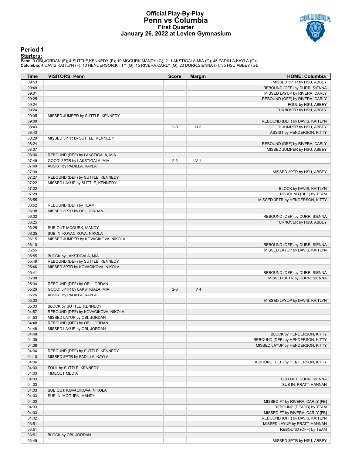### **Official Play-By-Play Penn vs Columbia First Quarter January 26, 2022 at Levien Gymnasium**



### **Period 1**

<mark>Starters:</mark><br>Penn: 0 OBI,JORDAN (F); 4 SUTTLE,KENNEDY (F); 10 MCGURK,MANDY (G); 21 LAKSTIGALA,MIA (G); 45 PADILLA,KAYLA (G);<br>**Columbia**: 4 DAVIS,KAITLYN (F); 10 HENDERSON,KITTY (G); 15 RIVERA,CARLY (G); 20 DURR,SIENNA (F);

| Time           | <b>VISITORS: Penn</b>               | <b>Score</b> | <b>Margin</b>  | <b>HOME: Columbia</b>             |
|----------------|-------------------------------------|--------------|----------------|-----------------------------------|
| 09:53          |                                     |              |                | MISSED 3PTR by HSU, ABBEY         |
| 09:49          |                                     |              |                | REBOUND (OFF) by DURR, SIENNA     |
| 09:31          |                                     |              |                | MISSED LAYUP by RIVERA, CARLY     |
| 09:25          |                                     |              |                | REBOUND (OFF) by RIVERA, CARLY    |
| 09:24          |                                     |              |                | FOUL by HSU, ABBEY                |
| 09:24          |                                     |              |                | TURNOVER by HSU, ABBEY            |
| 09:05          | MISSED JUMPER by SUTTLE, KENNEDY    |              |                |                                   |
| 09:00          |                                     |              |                | REBOUND (DEF) by DAVIS, KAITLYN   |
| 08:43          |                                     | $2 - 0$      | H <sub>2</sub> | GOOD! JUMPER by HSU, ABBEY        |
| 08:43          |                                     |              |                | ASSIST by HENDERSON, KITTY        |
| 08:29          | MISSED 3PTR by SUTTLE, KENNEDY      |              |                |                                   |
| 08:24          |                                     |              |                | REBOUND (DEF) by RIVERA, CARLY    |
| 08:07          |                                     |              |                | MISSED JUMPER by HSU, ABBEY       |
| 08:06          | REBOUND (DEF) by LAKSTIGALA, MIA    |              |                |                                   |
| 07:49          | GOOD! 3PTR by LAKSTIGALA, MIA       | $2 - 3$      | V <sub>1</sub> |                                   |
| 07:49          | ASSIST by PADILLA, KAYLA            |              |                |                                   |
| 07:30          |                                     |              |                | MISSED 3PTR by HSU, ABBEY         |
| 07:27          | REBOUND (DEF) by SUTTLE, KENNEDY    |              |                |                                   |
| 07:22          | MISSED LAYUP by SUTTLE, KENNEDY     |              |                |                                   |
| 07:22          |                                     |              |                | BLOCK by DAVIS, KAITLYN           |
| 07:20          |                                     |              |                | REBOUND (DEF) by TEAM             |
| 06:55          |                                     |              |                | MISSED 3PTR by HENDERSON, KITTY   |
| 06:52          | REBOUND (DEF) by TEAM               |              |                |                                   |
| 06:38          | MISSED 3PTR by OBI, JORDAN          |              |                |                                   |
| 06:32<br>06:25 |                                     |              |                | REBOUND (DEF) by DURR, SIENNA     |
| 06:25          | SUB OUT: MCGURK, MANDY              |              |                | TURNOVER by HSU, ABBEY            |
| 06:25          | SUB IN: KOVACIKOVA, NIKOLA          |              |                |                                   |
| 06:15          | MISSED JUMPER by KOVACIKOVA, NIKOLA |              |                |                                   |
| 06:10          |                                     |              |                | REBOUND (DEF) by DURR, SIENNA     |
| 05:55          |                                     |              |                | MISSED LAYUP by DAVIS, KAITLYN    |
| 05:55          | BLOCK by LAKSTIGALA, MIA            |              |                |                                   |
| 05:49          | REBOUND (DEF) by SUTTLE, KENNEDY    |              |                |                                   |
| 05:46          | MISSED 3PTR by KOVACIKOVA, NIKOLA   |              |                |                                   |
| 05:41          |                                     |              |                | REBOUND (DEF) by DURR, SIENNA     |
| 05:38          |                                     |              |                | MISSED 3PTR by DURR, SIENNA       |
| 05:34          | REBOUND (DEF) by OBI, JORDAN        |              |                |                                   |
| 05:26          | GOOD! 3PTR by LAKSTIGALA, MIA       | $2 - 6$      | V <sub>4</sub> |                                   |
| 05:26          | ASSIST by PADILLA, KAYLA            |              |                |                                   |
| 05:03          |                                     |              |                | MISSED LAYUP by DAVIS, KAITLYN    |
| 05:03          | BLOCK by SUTTLE, KENNEDY            |              |                |                                   |
| 04:57          | REBOUND (DEF) by KOVACIKOVA, NIKOLA |              |                |                                   |
| 04:53          | MISSED LAYUP by OBI, JORDAN         |              |                |                                   |
| 04:48          | REBOUND (OFF) by OBI, JORDAN        |              |                |                                   |
| 04:48          | MISSED LAYUP by OBI, JORDAN         |              |                |                                   |
| 04:48          |                                     |              |                | BLOCK by HENDERSON, KITTY         |
| 04:39          |                                     |              |                | REBOUND (DEF) by HENDERSON, KITTY |
| 04:38          |                                     |              |                | MISSED LAYUP by HENDERSON, KITTY  |
| 04:34          | REBOUND (DEF) by SUTTLE, KENNEDY    |              |                |                                   |
| 04:10          | MISSED 3PTR by PADILLA, KAYLA       |              |                |                                   |
| 04:06          |                                     |              |                | REBOUND (DEF) by HENDERSON, KITTY |
| 04:03          | FOUL by SUTTLE, KENNEDY             |              |                |                                   |
| 04:03          | <b>TIMEOUT MEDIA</b>                |              |                |                                   |
| 04:03          |                                     |              |                | SUB OUT: DURR, SIENNA             |
| 04:03          |                                     |              |                | SUB IN: PRATT, HANNAH             |
| 04:03          | SUB OUT: KOVACIKOVA, NIKOLA         |              |                |                                   |
| 04:03          | SUB IN: MCGURK, MANDY               |              |                |                                   |
| 04:03          |                                     |              |                | MISSED FT by RIVERA, CARLY [FB]   |
| 04:03          |                                     |              |                | REBOUND (DEADB) by TEAM           |
| 04:03          |                                     |              |                | MISSED FT by RIVERA, CARLY [FB]   |
| 04:02          |                                     |              |                | REBOUND (OFF) by DAVIS, KAITLYN   |
| 03:51          |                                     |              |                | MISSED LAYUP by PRATT, HANNAH     |
| 03:51          |                                     |              |                | REBOUND (OFF) by TEAM             |
| 03:51          | BLOCK by OBI, JORDAN                |              |                |                                   |
| 03:49          |                                     |              |                | MISSED 3PTR by HSU, ABBEY         |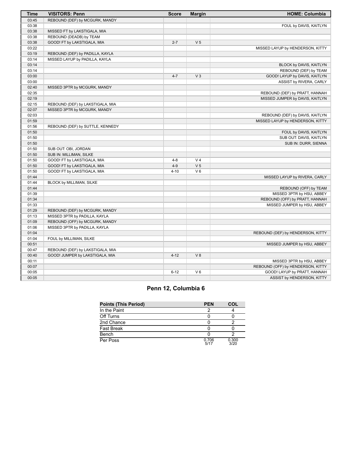| <b>Time</b> | <b>VISITORS: Penn</b>            | <b>Score</b> | <b>Margin</b>  | <b>HOME: Columbia</b>             |
|-------------|----------------------------------|--------------|----------------|-----------------------------------|
| 03:45       | REBOUND (DEF) by MCGURK, MANDY   |              |                |                                   |
| 03:38       |                                  |              |                | FOUL by DAVIS, KAITLYN            |
| 03:38       | MISSED FT by LAKSTIGALA, MIA     |              |                |                                   |
| 03:38       | REBOUND (DEADB) by TEAM          |              |                |                                   |
| 03:38       | GOOD! FT by LAKSTIGALA, MIA      | $2 - 7$      | V <sub>5</sub> |                                   |
| 03:22       |                                  |              |                | MISSED LAYUP by HENDERSON, KITTY  |
| 03:19       | REBOUND (DEF) by PADILLA, KAYLA  |              |                |                                   |
| 03:14       | MISSED LAYUP by PADILLA, KAYLA   |              |                |                                   |
| 03:14       |                                  |              |                | BLOCK by DAVIS, KAITLYN           |
| 03:14       |                                  |              |                | REBOUND (DEF) by TEAM             |
| 03:00       |                                  | $4 - 7$      | V <sub>3</sub> | GOOD! LAYUP by DAVIS, KAITLYN     |
| 03:00       |                                  |              |                | ASSIST by RIVERA, CARLY           |
| 02:40       | MISSED 3PTR by MCGURK, MANDY     |              |                |                                   |
| 02:35       |                                  |              |                | REBOUND (DEF) by PRATT, HANNAH    |
| 02:19       |                                  |              |                | MISSED JUMPER by DAVIS, KAITLYN   |
| 02:15       | REBOUND (DEF) by LAKSTIGALA, MIA |              |                |                                   |
| 02:07       | MISSED 3PTR by MCGURK, MANDY     |              |                |                                   |
| 02:03       |                                  |              |                | REBOUND (DEF) by DAVIS, KAITLYN   |
| 01:59       |                                  |              |                | MISSED LAYUP by HENDERSON, KITTY  |
| 01:56       | REBOUND (DEF) by SUTTLE, KENNEDY |              |                |                                   |
| 01:50       |                                  |              |                | FOUL by DAVIS, KAITLYN            |
| 01:50       |                                  |              |                | SUB OUT: DAVIS, KAITLYN           |
| 01:50       |                                  |              |                | SUB IN: DURR, SIENNA              |
| 01:50       | SUB OUT: OBI, JORDAN             |              |                |                                   |
| 01:50       | SUB IN: MILLIMAN, SILKE          |              |                |                                   |
| 01:50       | GOOD! FT by LAKSTIGALA, MIA      | $4 - 8$      | V <sub>4</sub> |                                   |
| 01:50       | GOOD! FT by LAKSTIGALA, MIA      | $4 - 9$      | V <sub>5</sub> |                                   |
| 01:50       | GOOD! FT by LAKSTIGALA, MIA      | $4 - 10$     | $V_6$          |                                   |
| 01:44       |                                  |              |                | MISSED LAYUP by RIVERA, CARLY     |
| 01:44       | BLOCK by MILLIMAN, SILKE         |              |                |                                   |
| 01:44       |                                  |              |                | REBOUND (OFF) by TEAM             |
| 01:39       |                                  |              |                | MISSED 3PTR by HSU, ABBEY         |
| 01:34       |                                  |              |                | REBOUND (OFF) by PRATT, HANNAH    |
| 01:33       |                                  |              |                | MISSED JUMPER by HSU, ABBEY       |
| 01:29       | REBOUND (DEF) by MCGURK, MANDY   |              |                |                                   |
| 01:13       | MISSED 3PTR by PADILLA, KAYLA    |              |                |                                   |
| 01:09       | REBOUND (OFF) by MCGURK, MANDY   |              |                |                                   |
| 01:06       | MISSED 3PTR by PADILLA, KAYLA    |              |                |                                   |
| 01:04       |                                  |              |                | REBOUND (DEF) by HENDERSON, KITTY |
| 01:04       | FOUL by MILLIMAN, SILKE          |              |                |                                   |
| 00:51       |                                  |              |                | MISSED JUMPER by HSU, ABBEY       |
| 00:47       | REBOUND (DEF) by LAKSTIGALA, MIA |              |                |                                   |
| 00:40       | GOOD! JUMPER by LAKSTIGALA, MIA  | $4 - 12$     | V8             |                                   |
| 00:11       |                                  |              |                | MISSED 3PTR by HSU, ABBEY         |
| 00:07       |                                  |              |                | REBOUND (OFF) by HENDERSON, KITTY |
| 00:05       |                                  | $6 - 12$     | V <sub>6</sub> | GOOD! LAYUP by PRATT, HANNAH      |
| 00:05       |                                  |              |                | ASSIST by HENDERSON, KITTY        |

# **Penn 12, Columbia 6**

| <b>Points (This Period)</b> | <b>PEN</b>    | <b>COL</b>    |
|-----------------------------|---------------|---------------|
| In the Paint                |               |               |
| Off Turns                   |               |               |
| 2nd Chance                  |               |               |
| Fast Break                  |               |               |
| Bench                       |               |               |
| Per Poss                    | 0.706<br>5/17 | 0.300<br>3/20 |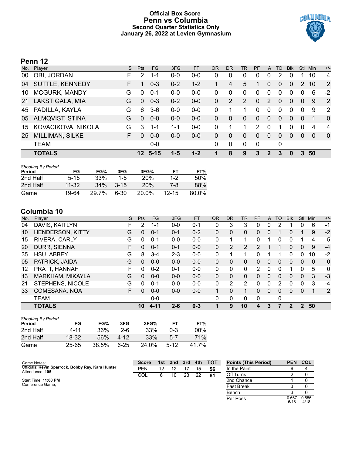# **Official Box Score Penn vs Columbia Second Quarter Statistics Only January 26, 2022 at Levien Gymnasium**



# **Penn 12**

| No. | Player                 | S. | Pts             | FG.     | 3FG     | <b>FT</b> | <b>OR</b> | <b>DR</b>   | <b>TR</b>      | PF            | A            | TO       | <b>Blk</b> | <b>Stl</b>   | Min      | $+/-$          |
|-----|------------------------|----|-----------------|---------|---------|-----------|-----------|-------------|----------------|---------------|--------------|----------|------------|--------------|----------|----------------|
| 00  | OBI, JORDAN            | F  | 2               | $1 - 1$ | $0 - 0$ | $0 - 0$   | 0         | 0           | 0              | 0             | 0            | 2        | 0          |              | 10       | 4              |
| 04  | SUTTLE, KENNEDY        | F. |                 | $0 - 3$ | $0 - 2$ | $1 - 2$   |           | 4           | 5              |               | 0            | 0        | 0          | 2            | 10       | 2              |
| 10  | MCGURK, MANDY          | G  | $\Omega$        | $0 - 1$ | $0 - 0$ | $0 - 0$   | 0         | 0           | 0              | 0             | $\mathbf{0}$ | 0        | 0          | $\Omega$     | 6        | $-2$           |
| 21  | LAKSTIGALA, MIA        | G  | $\Omega$        | $0 - 3$ | $0 - 2$ | $0-0$     | 0         | 2           | $\overline{2}$ | $\Omega$      | 2            | 0        | 0          | $\mathbf{0}$ | 9        | 2              |
| 45  | PADILLA, KAYLA         | G  | 6               | $3-6$   | $0-0$   | $0-0$     | 0         |             | 1              | 0             | $\mathbf{0}$ | $\Omega$ | 0          | $\Omega$     | 9        | 2              |
| 05  | <b>ALMQVIST, STINA</b> | G  | $\Omega$        | $0 - 0$ | $0 - 0$ | $0 - 0$   | 0         | $\Omega$    | $\Omega$       | $\Omega$      | $\Omega$     | 0        | 0          | $\Omega$     | 1        | $\mathbf{0}$   |
| 15  | KOVACIKOVA, NIKOLA     | G. | 3               | 1-1     | $1 - 1$ | $0 - 0$   | 0         |             | 1              | $\mathcal{P}$ | $\mathbf 0$  |          | 0          | $\Omega$     | 4        | $\overline{4}$ |
| 25  | MILLIMAN, SILKE        | F. | <sup>0</sup>    | $0 - 0$ | $0 - 0$ | $0 - 0$   | 0         | $\Omega$    | $\Omega$       | $\Omega$      | $\Omega$     | 0        | 0          | $\Omega$     | $\Omega$ | $\Omega$       |
|     | <b>TEAM</b>            |    |                 | $0-0$   |         |           | 0         | $\mathbf 0$ | $\Omega$       | $\Omega$      |              | 0        |            |              |          |                |
|     | <b>TOTALS</b>          |    | 12 <sup>°</sup> | $-5-15$ | 1-5     | $1 - 2$   |           | 8           | 9              | 3             | 2            | 3        | 0          |              | 50       |                |

| <b>Shooting By Period</b><br>Period | FG       | FG%   | 3FG      | 3FG%       | FТ        | FT%   |
|-------------------------------------|----------|-------|----------|------------|-----------|-------|
| 2nd Half                            | $5 - 15$ | 33%   | $1-5$    | <b>20%</b> | $1 - 2$   | 50%   |
| 2nd Half                            | 11-32    | 34%   | $3 - 15$ | 20%        | 7-8       | 88%   |
| Game                                | 19-64    | 29.7% | 6-30     | 20.0%      | $12 - 15$ | 80.0% |

# **Columbia 10**

| No. | Plaver                  | S  | <b>Pts</b> | FG       | 3FG     | <b>FT</b> | <b>OR</b> | <b>DR</b> | TR             | PF             | A        | TO       | <b>Blk</b>    | Stl          | Min      | $+/-$        |
|-----|-------------------------|----|------------|----------|---------|-----------|-----------|-----------|----------------|----------------|----------|----------|---------------|--------------|----------|--------------|
| 04  | DAVIS, KAITLYN          | F. | 2          | 1-1      | $0 - 0$ | $0 - 1$   | 0         | 3         | 3              | 0              | 0        |          |               | 0            | 6        | $-1$         |
| 10  | <b>HENDERSON, KITTY</b> | G  | $\Omega$   | $0 - 1$  | $0 - 1$ | $0 - 2$   | 0         | 0         | 0              | 0              | 0        |          | 0             |              | 9        | $-2$         |
| 15  | RIVERA, CARLY           | G  | 0          | $0 - 1$  | $0 - 0$ | $0 - 0$   | 0         |           | 1.             | 0              |          | 0        | 0             |              | 4        | 5            |
| 20  | DURR, SIENNA            | F. | 0          | $0 - 1$  | $0 - 1$ | $0 - 0$   | 0         | 2         | $\overline{2}$ | $\overline{2}$ |          |          | 0             | 0            | 9        | $-4$         |
| 35  | HSU, ABBEY              | G  | 8          | $3 - 4$  | $2 - 3$ | $0 - 0$   | 0         |           | 1              | 0              |          |          | 0             | $\Omega$     | 10       | $-2$         |
| 05  | PATRICK, JAIDA          | G  | 0          | $0 - 0$  | $0 - 0$ | $0 - 0$   | $\Omega$  | 0         | 0              | 0              | $\Omega$ | $\Omega$ | 0             | $\Omega$     | $\Omega$ | $\mathbf{0}$ |
| 12  | PRATT, HANNAH           | F  | 0          | $0 - 2$  | $0 - 1$ | $0-0$     | 0         | 0         | $\Omega$       | 2              | 0        | 0        |               | 0            | 5        | $\Omega$     |
| 13  | MARKHAM, MIKAYLA        | G  | 0          | $0 - 0$  | $0 - 0$ | $0 - 0$   | $\Omega$  | $\Omega$  | 0              | 0              | $\Omega$ | $\Omega$ | 0             | $\Omega$     | 3        | -3           |
| 21  | STEPHENS, NICOLE        | G  | 0          | $0 - 1$  | $0 - 0$ | $0 - 0$   | 0         | 2         | 2              | 0              | 0        | 2        | 0             | 0            | 3        | $-4$         |
| 33  | COMESAÑA, NOA           | F. | 0          | $0 - 0$  | $0 - 0$ | $0 - 0$   |           | 0         | 1              | 0              | $\Omega$ | $\Omega$ | 0             | $\mathbf{0}$ |          | 2            |
|     | <b>TEAM</b>             |    |            | $0 - 0$  |         |           | 0         | 0         | 0              | 0              |          | 0        |               |              |          |              |
|     | <b>TOTALS</b>           |    | 10         | $4 - 11$ | $2 - 6$ | $0 - 3$   |           | 9         | 10             | 4              | 3        |          | $\mathcal{P}$ | 2            | 50       |              |

| <b>Shooting By Period</b><br>Period | FG        | FG%   | 3FG      | 3FG%  | FТ      | FT%        |
|-------------------------------------|-----------|-------|----------|-------|---------|------------|
| 2nd Half                            | 4-11      | 36%   | $2-6$    | 33%   | $0 - 3$ | $00\%$     |
| 2nd Half                            | 18-32     | 56%   | 4-12     | 33%   | 5-7     | <b>71%</b> |
| Game                                | $25 - 65$ | 38.5% | $6 - 25$ | 24.0% | $5-12$  | 41 7%      |

| Game Notes:                                                          | <b>Score</b> |    |    |    |    | 1st 2nd 3rd 4th TOT | <b>Points (This Period)</b> | <b>PEN COL</b> |               |
|----------------------------------------------------------------------|--------------|----|----|----|----|---------------------|-----------------------------|----------------|---------------|
| Officials: Kevin Sparrock, Bobby Ray, Kara Hunter<br>Attendance: 105 | <b>PEN</b>   | 12 | 12 |    | 15 | 56                  | In the Paint                |                |               |
|                                                                      | COL          | 6  | 10 | 23 | 22 | -61                 | Off Turns                   |                |               |
| Start Time: 11:00 PM                                                 |              |    |    |    |    |                     | 2nd Chance                  |                |               |
| Conference Game:                                                     |              |    |    |    |    |                     | <b>Fast Break</b>           |                |               |
|                                                                      |              |    |    |    |    |                     | Bench                       |                |               |
|                                                                      |              |    |    |    |    |                     | Per Poss                    | 0.667<br>6/18  | 0.556<br>4/18 |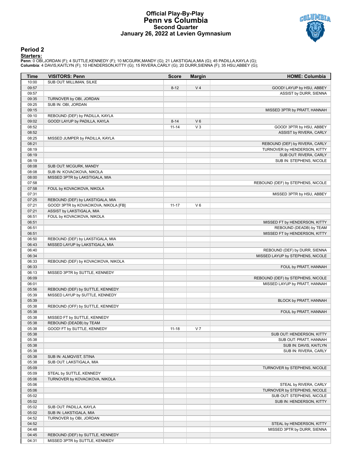## **Official Play-By-Play Penn vs Columbia Second Quarter January 26, 2022 at Levien Gymnasium**



## **Period 2**

<mark>Starters:</mark><br>Penn: 0 OBI,JORDAN (F); 4 SUTTLE,KENNEDY (F); 10 MCGURK,MANDY (G); 21 LAKSTIGALA,MIA (G); 45 PADILLA,KAYLA (G);<br>**Columbia**: 4 DAVIS,KAITLYN (F); 10 HENDERSON,KITTY (G); 15 RIVERA,CARLY (G); 20 DURR,SIENNA (F);

| SUB OUT: MILLIMAN, SILKE<br>10:00<br>V <sub>4</sub><br>09:57<br>$8 - 12$<br>GOOD! LAYUP by HSU, ABBEY<br>09:57<br>ASSIST by DURR, SIENNA<br>09:35<br>TURNOVER by OBI, JORDAN<br>09:25<br>SUB IN: OBI, JORDAN<br>09:15<br>MISSED 3PTR by PRATT, HANNAH<br>09:10<br>REBOUND (DEF) by PADILLA, KAYLA<br>09:02<br>GOOD! LAYUP by PADILLA, KAYLA<br>$V_6$<br>$8 - 14$<br>08:52<br>$11 - 14$<br>$V_3$<br>GOOD! 3PTR by HSU, ABBEY<br>08:52<br>ASSIST by RIVERA, CARLY<br>08:25<br>MISSED JUMPER by PADILLA, KAYLA<br>08:21<br>REBOUND (DEF) by RIVERA, CARLY<br>08:19<br>TURNOVER by HENDERSON, KITTY<br>08:19<br>SUB OUT: RIVERA, CARLY<br>08:19<br>SUB IN: STEPHENS, NICOLE<br>08:08<br>SUB OUT: MCGURK, MANDY<br>SUB IN: KOVACIKOVA, NIKOLA<br>08:08<br>08:00<br>MISSED 3PTR by LAKSTIGALA, MIA<br>07:58<br>REBOUND (DEF) by STEPHENS, NICOLE<br>07:58<br>FOUL by KOVACIKOVA, NIKOLA<br>07:31<br>MISSED 3PTR by HSU, ABBEY<br>07:25<br>REBOUND (DEF) by LAKSTIGALA, MIA<br>07:21<br>GOOD! 3PTR by KOVACIKOVA, NIKOLA [FB]<br>$V_6$<br>$11 - 17$<br>07:21<br>ASSIST by LAKSTIGALA, MIA<br>FOUL by KOVACIKOVA, NIKOLA<br>06:51<br>06:51<br>MISSED FT by HENDERSON, KITTY<br>06:51<br>REBOUND (DEADB) by TEAM<br>MISSED FT by HENDERSON, KITTY<br>06:51<br>REBOUND (DEF) by LAKSTIGALA, MIA<br>06:50<br>06:43<br>MISSED LAYUP by LAKSTIGALA, MIA<br>06:40<br>REBOUND (DEF) by DURR, SIENNA<br>06:34<br>MISSED LAYUP by STEPHENS, NICOLE<br>06:33<br>REBOUND (DEF) by KOVACIKOVA, NIKOLA<br>06:33<br>FOUL by PRATT, HANNAH<br>06:13<br>MISSED 3PTR by SUTTLE, KENNEDY<br>06:09<br>REBOUND (DEF) by STEPHENS, NICOLE<br>06:01<br>MISSED LAYUP by PRATT, HANNAH<br>05:56<br>REBOUND (DEF) by SUTTLE, KENNEDY<br>05:39<br>MISSED LAYUP by SUTTLE, KENNEDY<br>05:39<br>BLOCK by PRATT, HANNAH<br>05:38<br>REBOUND (OFF) by SUTTLE, KENNEDY<br>05:38<br>FOUL by PRATT, HANNAH<br>05:38<br>MISSED FT by SUTTLE, KENNEDY<br>05:38<br>REBOUND (DEADB) by TEAM<br>GOOD! FT by SUTTLE, KENNEDY<br>05:38<br>$11 - 18$<br>V <sub>7</sub><br>SUB OUT: HENDERSON, KITTY<br>05:38<br>05:38<br>SUB OUT: PRATT, HANNAH<br>05:38<br>SUB IN: DAVIS, KAITLYN<br>05:38<br>SUB IN: RIVERA, CARLY<br>05:38<br>SUB IN: ALMQVIST, STINA<br>05:38<br>SUB OUT: LAKSTIGALA, MIA<br>05:09<br>TURNOVER by STEPHENS, NICOLE<br>05:09<br>STEAL by SUTTLE, KENNEDY<br>05:06<br>TURNOVER by KOVACIKOVA, NIKOLA<br>05:06<br>STEAL by RIVERA, CARLY<br>05:06<br>TURNOVER by STEPHENS, NICOLE<br>05:02<br>SUB OUT: STEPHENS, NICOLE<br>05:02<br>SUB IN: HENDERSON, KITTY<br>05:02<br>SUB OUT: PADILLA, KAYLA<br>05:02<br>SUB IN: LAKSTIGALA, MIA<br>04:52<br>TURNOVER by OBI, JORDAN<br>04:52<br>STEAL by HENDERSON, KITTY<br>04:48<br>MISSED 3PTR by DURR, SIENNA<br>04:45<br>REBOUND (DEF) by SUTTLE, KENNEDY<br>MISSED 3PTR by SUTTLE, KENNEDY<br>04:31 | Time | <b>VISITORS: Penn</b> | <b>Score</b> | <b>Margin</b> | <b>HOME: Columbia</b> |
|----------------------------------------------------------------------------------------------------------------------------------------------------------------------------------------------------------------------------------------------------------------------------------------------------------------------------------------------------------------------------------------------------------------------------------------------------------------------------------------------------------------------------------------------------------------------------------------------------------------------------------------------------------------------------------------------------------------------------------------------------------------------------------------------------------------------------------------------------------------------------------------------------------------------------------------------------------------------------------------------------------------------------------------------------------------------------------------------------------------------------------------------------------------------------------------------------------------------------------------------------------------------------------------------------------------------------------------------------------------------------------------------------------------------------------------------------------------------------------------------------------------------------------------------------------------------------------------------------------------------------------------------------------------------------------------------------------------------------------------------------------------------------------------------------------------------------------------------------------------------------------------------------------------------------------------------------------------------------------------------------------------------------------------------------------------------------------------------------------------------------------------------------------------------------------------------------------------------------------------------------------------------------------------------------------------------------------------------------------------------------------------------------------------------------------------------------------------------------------------------------------------------------------------------------------------------------------------------------------------------------------------------------------------------------------------------------------------------------------------------------------------------------------------------------------------|------|-----------------------|--------------|---------------|-----------------------|
|                                                                                                                                                                                                                                                                                                                                                                                                                                                                                                                                                                                                                                                                                                                                                                                                                                                                                                                                                                                                                                                                                                                                                                                                                                                                                                                                                                                                                                                                                                                                                                                                                                                                                                                                                                                                                                                                                                                                                                                                                                                                                                                                                                                                                                                                                                                                                                                                                                                                                                                                                                                                                                                                                                                                                                                                                |      |                       |              |               |                       |
|                                                                                                                                                                                                                                                                                                                                                                                                                                                                                                                                                                                                                                                                                                                                                                                                                                                                                                                                                                                                                                                                                                                                                                                                                                                                                                                                                                                                                                                                                                                                                                                                                                                                                                                                                                                                                                                                                                                                                                                                                                                                                                                                                                                                                                                                                                                                                                                                                                                                                                                                                                                                                                                                                                                                                                                                                |      |                       |              |               |                       |
|                                                                                                                                                                                                                                                                                                                                                                                                                                                                                                                                                                                                                                                                                                                                                                                                                                                                                                                                                                                                                                                                                                                                                                                                                                                                                                                                                                                                                                                                                                                                                                                                                                                                                                                                                                                                                                                                                                                                                                                                                                                                                                                                                                                                                                                                                                                                                                                                                                                                                                                                                                                                                                                                                                                                                                                                                |      |                       |              |               |                       |
|                                                                                                                                                                                                                                                                                                                                                                                                                                                                                                                                                                                                                                                                                                                                                                                                                                                                                                                                                                                                                                                                                                                                                                                                                                                                                                                                                                                                                                                                                                                                                                                                                                                                                                                                                                                                                                                                                                                                                                                                                                                                                                                                                                                                                                                                                                                                                                                                                                                                                                                                                                                                                                                                                                                                                                                                                |      |                       |              |               |                       |
|                                                                                                                                                                                                                                                                                                                                                                                                                                                                                                                                                                                                                                                                                                                                                                                                                                                                                                                                                                                                                                                                                                                                                                                                                                                                                                                                                                                                                                                                                                                                                                                                                                                                                                                                                                                                                                                                                                                                                                                                                                                                                                                                                                                                                                                                                                                                                                                                                                                                                                                                                                                                                                                                                                                                                                                                                |      |                       |              |               |                       |
|                                                                                                                                                                                                                                                                                                                                                                                                                                                                                                                                                                                                                                                                                                                                                                                                                                                                                                                                                                                                                                                                                                                                                                                                                                                                                                                                                                                                                                                                                                                                                                                                                                                                                                                                                                                                                                                                                                                                                                                                                                                                                                                                                                                                                                                                                                                                                                                                                                                                                                                                                                                                                                                                                                                                                                                                                |      |                       |              |               |                       |
|                                                                                                                                                                                                                                                                                                                                                                                                                                                                                                                                                                                                                                                                                                                                                                                                                                                                                                                                                                                                                                                                                                                                                                                                                                                                                                                                                                                                                                                                                                                                                                                                                                                                                                                                                                                                                                                                                                                                                                                                                                                                                                                                                                                                                                                                                                                                                                                                                                                                                                                                                                                                                                                                                                                                                                                                                |      |                       |              |               |                       |
|                                                                                                                                                                                                                                                                                                                                                                                                                                                                                                                                                                                                                                                                                                                                                                                                                                                                                                                                                                                                                                                                                                                                                                                                                                                                                                                                                                                                                                                                                                                                                                                                                                                                                                                                                                                                                                                                                                                                                                                                                                                                                                                                                                                                                                                                                                                                                                                                                                                                                                                                                                                                                                                                                                                                                                                                                |      |                       |              |               |                       |
|                                                                                                                                                                                                                                                                                                                                                                                                                                                                                                                                                                                                                                                                                                                                                                                                                                                                                                                                                                                                                                                                                                                                                                                                                                                                                                                                                                                                                                                                                                                                                                                                                                                                                                                                                                                                                                                                                                                                                                                                                                                                                                                                                                                                                                                                                                                                                                                                                                                                                                                                                                                                                                                                                                                                                                                                                |      |                       |              |               |                       |
|                                                                                                                                                                                                                                                                                                                                                                                                                                                                                                                                                                                                                                                                                                                                                                                                                                                                                                                                                                                                                                                                                                                                                                                                                                                                                                                                                                                                                                                                                                                                                                                                                                                                                                                                                                                                                                                                                                                                                                                                                                                                                                                                                                                                                                                                                                                                                                                                                                                                                                                                                                                                                                                                                                                                                                                                                |      |                       |              |               |                       |
|                                                                                                                                                                                                                                                                                                                                                                                                                                                                                                                                                                                                                                                                                                                                                                                                                                                                                                                                                                                                                                                                                                                                                                                                                                                                                                                                                                                                                                                                                                                                                                                                                                                                                                                                                                                                                                                                                                                                                                                                                                                                                                                                                                                                                                                                                                                                                                                                                                                                                                                                                                                                                                                                                                                                                                                                                |      |                       |              |               |                       |
|                                                                                                                                                                                                                                                                                                                                                                                                                                                                                                                                                                                                                                                                                                                                                                                                                                                                                                                                                                                                                                                                                                                                                                                                                                                                                                                                                                                                                                                                                                                                                                                                                                                                                                                                                                                                                                                                                                                                                                                                                                                                                                                                                                                                                                                                                                                                                                                                                                                                                                                                                                                                                                                                                                                                                                                                                |      |                       |              |               |                       |
|                                                                                                                                                                                                                                                                                                                                                                                                                                                                                                                                                                                                                                                                                                                                                                                                                                                                                                                                                                                                                                                                                                                                                                                                                                                                                                                                                                                                                                                                                                                                                                                                                                                                                                                                                                                                                                                                                                                                                                                                                                                                                                                                                                                                                                                                                                                                                                                                                                                                                                                                                                                                                                                                                                                                                                                                                |      |                       |              |               |                       |
|                                                                                                                                                                                                                                                                                                                                                                                                                                                                                                                                                                                                                                                                                                                                                                                                                                                                                                                                                                                                                                                                                                                                                                                                                                                                                                                                                                                                                                                                                                                                                                                                                                                                                                                                                                                                                                                                                                                                                                                                                                                                                                                                                                                                                                                                                                                                                                                                                                                                                                                                                                                                                                                                                                                                                                                                                |      |                       |              |               |                       |
|                                                                                                                                                                                                                                                                                                                                                                                                                                                                                                                                                                                                                                                                                                                                                                                                                                                                                                                                                                                                                                                                                                                                                                                                                                                                                                                                                                                                                                                                                                                                                                                                                                                                                                                                                                                                                                                                                                                                                                                                                                                                                                                                                                                                                                                                                                                                                                                                                                                                                                                                                                                                                                                                                                                                                                                                                |      |                       |              |               |                       |
|                                                                                                                                                                                                                                                                                                                                                                                                                                                                                                                                                                                                                                                                                                                                                                                                                                                                                                                                                                                                                                                                                                                                                                                                                                                                                                                                                                                                                                                                                                                                                                                                                                                                                                                                                                                                                                                                                                                                                                                                                                                                                                                                                                                                                                                                                                                                                                                                                                                                                                                                                                                                                                                                                                                                                                                                                |      |                       |              |               |                       |
|                                                                                                                                                                                                                                                                                                                                                                                                                                                                                                                                                                                                                                                                                                                                                                                                                                                                                                                                                                                                                                                                                                                                                                                                                                                                                                                                                                                                                                                                                                                                                                                                                                                                                                                                                                                                                                                                                                                                                                                                                                                                                                                                                                                                                                                                                                                                                                                                                                                                                                                                                                                                                                                                                                                                                                                                                |      |                       |              |               |                       |
|                                                                                                                                                                                                                                                                                                                                                                                                                                                                                                                                                                                                                                                                                                                                                                                                                                                                                                                                                                                                                                                                                                                                                                                                                                                                                                                                                                                                                                                                                                                                                                                                                                                                                                                                                                                                                                                                                                                                                                                                                                                                                                                                                                                                                                                                                                                                                                                                                                                                                                                                                                                                                                                                                                                                                                                                                |      |                       |              |               |                       |
|                                                                                                                                                                                                                                                                                                                                                                                                                                                                                                                                                                                                                                                                                                                                                                                                                                                                                                                                                                                                                                                                                                                                                                                                                                                                                                                                                                                                                                                                                                                                                                                                                                                                                                                                                                                                                                                                                                                                                                                                                                                                                                                                                                                                                                                                                                                                                                                                                                                                                                                                                                                                                                                                                                                                                                                                                |      |                       |              |               |                       |
|                                                                                                                                                                                                                                                                                                                                                                                                                                                                                                                                                                                                                                                                                                                                                                                                                                                                                                                                                                                                                                                                                                                                                                                                                                                                                                                                                                                                                                                                                                                                                                                                                                                                                                                                                                                                                                                                                                                                                                                                                                                                                                                                                                                                                                                                                                                                                                                                                                                                                                                                                                                                                                                                                                                                                                                                                |      |                       |              |               |                       |
|                                                                                                                                                                                                                                                                                                                                                                                                                                                                                                                                                                                                                                                                                                                                                                                                                                                                                                                                                                                                                                                                                                                                                                                                                                                                                                                                                                                                                                                                                                                                                                                                                                                                                                                                                                                                                                                                                                                                                                                                                                                                                                                                                                                                                                                                                                                                                                                                                                                                                                                                                                                                                                                                                                                                                                                                                |      |                       |              |               |                       |
|                                                                                                                                                                                                                                                                                                                                                                                                                                                                                                                                                                                                                                                                                                                                                                                                                                                                                                                                                                                                                                                                                                                                                                                                                                                                                                                                                                                                                                                                                                                                                                                                                                                                                                                                                                                                                                                                                                                                                                                                                                                                                                                                                                                                                                                                                                                                                                                                                                                                                                                                                                                                                                                                                                                                                                                                                |      |                       |              |               |                       |
|                                                                                                                                                                                                                                                                                                                                                                                                                                                                                                                                                                                                                                                                                                                                                                                                                                                                                                                                                                                                                                                                                                                                                                                                                                                                                                                                                                                                                                                                                                                                                                                                                                                                                                                                                                                                                                                                                                                                                                                                                                                                                                                                                                                                                                                                                                                                                                                                                                                                                                                                                                                                                                                                                                                                                                                                                |      |                       |              |               |                       |
|                                                                                                                                                                                                                                                                                                                                                                                                                                                                                                                                                                                                                                                                                                                                                                                                                                                                                                                                                                                                                                                                                                                                                                                                                                                                                                                                                                                                                                                                                                                                                                                                                                                                                                                                                                                                                                                                                                                                                                                                                                                                                                                                                                                                                                                                                                                                                                                                                                                                                                                                                                                                                                                                                                                                                                                                                |      |                       |              |               |                       |
|                                                                                                                                                                                                                                                                                                                                                                                                                                                                                                                                                                                                                                                                                                                                                                                                                                                                                                                                                                                                                                                                                                                                                                                                                                                                                                                                                                                                                                                                                                                                                                                                                                                                                                                                                                                                                                                                                                                                                                                                                                                                                                                                                                                                                                                                                                                                                                                                                                                                                                                                                                                                                                                                                                                                                                                                                |      |                       |              |               |                       |
|                                                                                                                                                                                                                                                                                                                                                                                                                                                                                                                                                                                                                                                                                                                                                                                                                                                                                                                                                                                                                                                                                                                                                                                                                                                                                                                                                                                                                                                                                                                                                                                                                                                                                                                                                                                                                                                                                                                                                                                                                                                                                                                                                                                                                                                                                                                                                                                                                                                                                                                                                                                                                                                                                                                                                                                                                |      |                       |              |               |                       |
|                                                                                                                                                                                                                                                                                                                                                                                                                                                                                                                                                                                                                                                                                                                                                                                                                                                                                                                                                                                                                                                                                                                                                                                                                                                                                                                                                                                                                                                                                                                                                                                                                                                                                                                                                                                                                                                                                                                                                                                                                                                                                                                                                                                                                                                                                                                                                                                                                                                                                                                                                                                                                                                                                                                                                                                                                |      |                       |              |               |                       |
|                                                                                                                                                                                                                                                                                                                                                                                                                                                                                                                                                                                                                                                                                                                                                                                                                                                                                                                                                                                                                                                                                                                                                                                                                                                                                                                                                                                                                                                                                                                                                                                                                                                                                                                                                                                                                                                                                                                                                                                                                                                                                                                                                                                                                                                                                                                                                                                                                                                                                                                                                                                                                                                                                                                                                                                                                |      |                       |              |               |                       |
|                                                                                                                                                                                                                                                                                                                                                                                                                                                                                                                                                                                                                                                                                                                                                                                                                                                                                                                                                                                                                                                                                                                                                                                                                                                                                                                                                                                                                                                                                                                                                                                                                                                                                                                                                                                                                                                                                                                                                                                                                                                                                                                                                                                                                                                                                                                                                                                                                                                                                                                                                                                                                                                                                                                                                                                                                |      |                       |              |               |                       |
|                                                                                                                                                                                                                                                                                                                                                                                                                                                                                                                                                                                                                                                                                                                                                                                                                                                                                                                                                                                                                                                                                                                                                                                                                                                                                                                                                                                                                                                                                                                                                                                                                                                                                                                                                                                                                                                                                                                                                                                                                                                                                                                                                                                                                                                                                                                                                                                                                                                                                                                                                                                                                                                                                                                                                                                                                |      |                       |              |               |                       |
|                                                                                                                                                                                                                                                                                                                                                                                                                                                                                                                                                                                                                                                                                                                                                                                                                                                                                                                                                                                                                                                                                                                                                                                                                                                                                                                                                                                                                                                                                                                                                                                                                                                                                                                                                                                                                                                                                                                                                                                                                                                                                                                                                                                                                                                                                                                                                                                                                                                                                                                                                                                                                                                                                                                                                                                                                |      |                       |              |               |                       |
|                                                                                                                                                                                                                                                                                                                                                                                                                                                                                                                                                                                                                                                                                                                                                                                                                                                                                                                                                                                                                                                                                                                                                                                                                                                                                                                                                                                                                                                                                                                                                                                                                                                                                                                                                                                                                                                                                                                                                                                                                                                                                                                                                                                                                                                                                                                                                                                                                                                                                                                                                                                                                                                                                                                                                                                                                |      |                       |              |               |                       |
|                                                                                                                                                                                                                                                                                                                                                                                                                                                                                                                                                                                                                                                                                                                                                                                                                                                                                                                                                                                                                                                                                                                                                                                                                                                                                                                                                                                                                                                                                                                                                                                                                                                                                                                                                                                                                                                                                                                                                                                                                                                                                                                                                                                                                                                                                                                                                                                                                                                                                                                                                                                                                                                                                                                                                                                                                |      |                       |              |               |                       |
|                                                                                                                                                                                                                                                                                                                                                                                                                                                                                                                                                                                                                                                                                                                                                                                                                                                                                                                                                                                                                                                                                                                                                                                                                                                                                                                                                                                                                                                                                                                                                                                                                                                                                                                                                                                                                                                                                                                                                                                                                                                                                                                                                                                                                                                                                                                                                                                                                                                                                                                                                                                                                                                                                                                                                                                                                |      |                       |              |               |                       |
|                                                                                                                                                                                                                                                                                                                                                                                                                                                                                                                                                                                                                                                                                                                                                                                                                                                                                                                                                                                                                                                                                                                                                                                                                                                                                                                                                                                                                                                                                                                                                                                                                                                                                                                                                                                                                                                                                                                                                                                                                                                                                                                                                                                                                                                                                                                                                                                                                                                                                                                                                                                                                                                                                                                                                                                                                |      |                       |              |               |                       |
|                                                                                                                                                                                                                                                                                                                                                                                                                                                                                                                                                                                                                                                                                                                                                                                                                                                                                                                                                                                                                                                                                                                                                                                                                                                                                                                                                                                                                                                                                                                                                                                                                                                                                                                                                                                                                                                                                                                                                                                                                                                                                                                                                                                                                                                                                                                                                                                                                                                                                                                                                                                                                                                                                                                                                                                                                |      |                       |              |               |                       |
|                                                                                                                                                                                                                                                                                                                                                                                                                                                                                                                                                                                                                                                                                                                                                                                                                                                                                                                                                                                                                                                                                                                                                                                                                                                                                                                                                                                                                                                                                                                                                                                                                                                                                                                                                                                                                                                                                                                                                                                                                                                                                                                                                                                                                                                                                                                                                                                                                                                                                                                                                                                                                                                                                                                                                                                                                |      |                       |              |               |                       |
|                                                                                                                                                                                                                                                                                                                                                                                                                                                                                                                                                                                                                                                                                                                                                                                                                                                                                                                                                                                                                                                                                                                                                                                                                                                                                                                                                                                                                                                                                                                                                                                                                                                                                                                                                                                                                                                                                                                                                                                                                                                                                                                                                                                                                                                                                                                                                                                                                                                                                                                                                                                                                                                                                                                                                                                                                |      |                       |              |               |                       |
|                                                                                                                                                                                                                                                                                                                                                                                                                                                                                                                                                                                                                                                                                                                                                                                                                                                                                                                                                                                                                                                                                                                                                                                                                                                                                                                                                                                                                                                                                                                                                                                                                                                                                                                                                                                                                                                                                                                                                                                                                                                                                                                                                                                                                                                                                                                                                                                                                                                                                                                                                                                                                                                                                                                                                                                                                |      |                       |              |               |                       |
|                                                                                                                                                                                                                                                                                                                                                                                                                                                                                                                                                                                                                                                                                                                                                                                                                                                                                                                                                                                                                                                                                                                                                                                                                                                                                                                                                                                                                                                                                                                                                                                                                                                                                                                                                                                                                                                                                                                                                                                                                                                                                                                                                                                                                                                                                                                                                                                                                                                                                                                                                                                                                                                                                                                                                                                                                |      |                       |              |               |                       |
|                                                                                                                                                                                                                                                                                                                                                                                                                                                                                                                                                                                                                                                                                                                                                                                                                                                                                                                                                                                                                                                                                                                                                                                                                                                                                                                                                                                                                                                                                                                                                                                                                                                                                                                                                                                                                                                                                                                                                                                                                                                                                                                                                                                                                                                                                                                                                                                                                                                                                                                                                                                                                                                                                                                                                                                                                |      |                       |              |               |                       |
|                                                                                                                                                                                                                                                                                                                                                                                                                                                                                                                                                                                                                                                                                                                                                                                                                                                                                                                                                                                                                                                                                                                                                                                                                                                                                                                                                                                                                                                                                                                                                                                                                                                                                                                                                                                                                                                                                                                                                                                                                                                                                                                                                                                                                                                                                                                                                                                                                                                                                                                                                                                                                                                                                                                                                                                                                |      |                       |              |               |                       |
|                                                                                                                                                                                                                                                                                                                                                                                                                                                                                                                                                                                                                                                                                                                                                                                                                                                                                                                                                                                                                                                                                                                                                                                                                                                                                                                                                                                                                                                                                                                                                                                                                                                                                                                                                                                                                                                                                                                                                                                                                                                                                                                                                                                                                                                                                                                                                                                                                                                                                                                                                                                                                                                                                                                                                                                                                |      |                       |              |               |                       |
|                                                                                                                                                                                                                                                                                                                                                                                                                                                                                                                                                                                                                                                                                                                                                                                                                                                                                                                                                                                                                                                                                                                                                                                                                                                                                                                                                                                                                                                                                                                                                                                                                                                                                                                                                                                                                                                                                                                                                                                                                                                                                                                                                                                                                                                                                                                                                                                                                                                                                                                                                                                                                                                                                                                                                                                                                |      |                       |              |               |                       |
|                                                                                                                                                                                                                                                                                                                                                                                                                                                                                                                                                                                                                                                                                                                                                                                                                                                                                                                                                                                                                                                                                                                                                                                                                                                                                                                                                                                                                                                                                                                                                                                                                                                                                                                                                                                                                                                                                                                                                                                                                                                                                                                                                                                                                                                                                                                                                                                                                                                                                                                                                                                                                                                                                                                                                                                                                |      |                       |              |               |                       |
|                                                                                                                                                                                                                                                                                                                                                                                                                                                                                                                                                                                                                                                                                                                                                                                                                                                                                                                                                                                                                                                                                                                                                                                                                                                                                                                                                                                                                                                                                                                                                                                                                                                                                                                                                                                                                                                                                                                                                                                                                                                                                                                                                                                                                                                                                                                                                                                                                                                                                                                                                                                                                                                                                                                                                                                                                |      |                       |              |               |                       |
|                                                                                                                                                                                                                                                                                                                                                                                                                                                                                                                                                                                                                                                                                                                                                                                                                                                                                                                                                                                                                                                                                                                                                                                                                                                                                                                                                                                                                                                                                                                                                                                                                                                                                                                                                                                                                                                                                                                                                                                                                                                                                                                                                                                                                                                                                                                                                                                                                                                                                                                                                                                                                                                                                                                                                                                                                |      |                       |              |               |                       |
|                                                                                                                                                                                                                                                                                                                                                                                                                                                                                                                                                                                                                                                                                                                                                                                                                                                                                                                                                                                                                                                                                                                                                                                                                                                                                                                                                                                                                                                                                                                                                                                                                                                                                                                                                                                                                                                                                                                                                                                                                                                                                                                                                                                                                                                                                                                                                                                                                                                                                                                                                                                                                                                                                                                                                                                                                |      |                       |              |               |                       |
|                                                                                                                                                                                                                                                                                                                                                                                                                                                                                                                                                                                                                                                                                                                                                                                                                                                                                                                                                                                                                                                                                                                                                                                                                                                                                                                                                                                                                                                                                                                                                                                                                                                                                                                                                                                                                                                                                                                                                                                                                                                                                                                                                                                                                                                                                                                                                                                                                                                                                                                                                                                                                                                                                                                                                                                                                |      |                       |              |               |                       |
|                                                                                                                                                                                                                                                                                                                                                                                                                                                                                                                                                                                                                                                                                                                                                                                                                                                                                                                                                                                                                                                                                                                                                                                                                                                                                                                                                                                                                                                                                                                                                                                                                                                                                                                                                                                                                                                                                                                                                                                                                                                                                                                                                                                                                                                                                                                                                                                                                                                                                                                                                                                                                                                                                                                                                                                                                |      |                       |              |               |                       |
|                                                                                                                                                                                                                                                                                                                                                                                                                                                                                                                                                                                                                                                                                                                                                                                                                                                                                                                                                                                                                                                                                                                                                                                                                                                                                                                                                                                                                                                                                                                                                                                                                                                                                                                                                                                                                                                                                                                                                                                                                                                                                                                                                                                                                                                                                                                                                                                                                                                                                                                                                                                                                                                                                                                                                                                                                |      |                       |              |               |                       |
|                                                                                                                                                                                                                                                                                                                                                                                                                                                                                                                                                                                                                                                                                                                                                                                                                                                                                                                                                                                                                                                                                                                                                                                                                                                                                                                                                                                                                                                                                                                                                                                                                                                                                                                                                                                                                                                                                                                                                                                                                                                                                                                                                                                                                                                                                                                                                                                                                                                                                                                                                                                                                                                                                                                                                                                                                |      |                       |              |               |                       |
|                                                                                                                                                                                                                                                                                                                                                                                                                                                                                                                                                                                                                                                                                                                                                                                                                                                                                                                                                                                                                                                                                                                                                                                                                                                                                                                                                                                                                                                                                                                                                                                                                                                                                                                                                                                                                                                                                                                                                                                                                                                                                                                                                                                                                                                                                                                                                                                                                                                                                                                                                                                                                                                                                                                                                                                                                |      |                       |              |               |                       |
|                                                                                                                                                                                                                                                                                                                                                                                                                                                                                                                                                                                                                                                                                                                                                                                                                                                                                                                                                                                                                                                                                                                                                                                                                                                                                                                                                                                                                                                                                                                                                                                                                                                                                                                                                                                                                                                                                                                                                                                                                                                                                                                                                                                                                                                                                                                                                                                                                                                                                                                                                                                                                                                                                                                                                                                                                |      |                       |              |               |                       |
|                                                                                                                                                                                                                                                                                                                                                                                                                                                                                                                                                                                                                                                                                                                                                                                                                                                                                                                                                                                                                                                                                                                                                                                                                                                                                                                                                                                                                                                                                                                                                                                                                                                                                                                                                                                                                                                                                                                                                                                                                                                                                                                                                                                                                                                                                                                                                                                                                                                                                                                                                                                                                                                                                                                                                                                                                |      |                       |              |               |                       |
|                                                                                                                                                                                                                                                                                                                                                                                                                                                                                                                                                                                                                                                                                                                                                                                                                                                                                                                                                                                                                                                                                                                                                                                                                                                                                                                                                                                                                                                                                                                                                                                                                                                                                                                                                                                                                                                                                                                                                                                                                                                                                                                                                                                                                                                                                                                                                                                                                                                                                                                                                                                                                                                                                                                                                                                                                |      |                       |              |               |                       |
|                                                                                                                                                                                                                                                                                                                                                                                                                                                                                                                                                                                                                                                                                                                                                                                                                                                                                                                                                                                                                                                                                                                                                                                                                                                                                                                                                                                                                                                                                                                                                                                                                                                                                                                                                                                                                                                                                                                                                                                                                                                                                                                                                                                                                                                                                                                                                                                                                                                                                                                                                                                                                                                                                                                                                                                                                |      |                       |              |               |                       |
|                                                                                                                                                                                                                                                                                                                                                                                                                                                                                                                                                                                                                                                                                                                                                                                                                                                                                                                                                                                                                                                                                                                                                                                                                                                                                                                                                                                                                                                                                                                                                                                                                                                                                                                                                                                                                                                                                                                                                                                                                                                                                                                                                                                                                                                                                                                                                                                                                                                                                                                                                                                                                                                                                                                                                                                                                |      |                       |              |               |                       |
|                                                                                                                                                                                                                                                                                                                                                                                                                                                                                                                                                                                                                                                                                                                                                                                                                                                                                                                                                                                                                                                                                                                                                                                                                                                                                                                                                                                                                                                                                                                                                                                                                                                                                                                                                                                                                                                                                                                                                                                                                                                                                                                                                                                                                                                                                                                                                                                                                                                                                                                                                                                                                                                                                                                                                                                                                |      |                       |              |               |                       |
|                                                                                                                                                                                                                                                                                                                                                                                                                                                                                                                                                                                                                                                                                                                                                                                                                                                                                                                                                                                                                                                                                                                                                                                                                                                                                                                                                                                                                                                                                                                                                                                                                                                                                                                                                                                                                                                                                                                                                                                                                                                                                                                                                                                                                                                                                                                                                                                                                                                                                                                                                                                                                                                                                                                                                                                                                |      |                       |              |               |                       |
|                                                                                                                                                                                                                                                                                                                                                                                                                                                                                                                                                                                                                                                                                                                                                                                                                                                                                                                                                                                                                                                                                                                                                                                                                                                                                                                                                                                                                                                                                                                                                                                                                                                                                                                                                                                                                                                                                                                                                                                                                                                                                                                                                                                                                                                                                                                                                                                                                                                                                                                                                                                                                                                                                                                                                                                                                |      |                       |              |               |                       |
|                                                                                                                                                                                                                                                                                                                                                                                                                                                                                                                                                                                                                                                                                                                                                                                                                                                                                                                                                                                                                                                                                                                                                                                                                                                                                                                                                                                                                                                                                                                                                                                                                                                                                                                                                                                                                                                                                                                                                                                                                                                                                                                                                                                                                                                                                                                                                                                                                                                                                                                                                                                                                                                                                                                                                                                                                |      |                       |              |               |                       |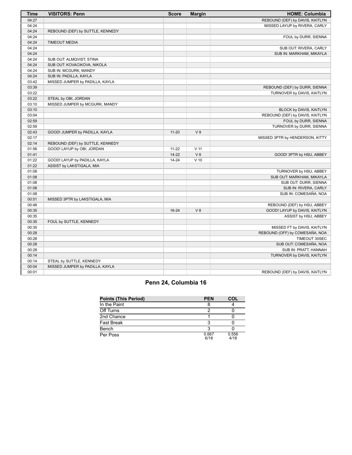| <b>Time</b> | <b>VISITORS: Penn</b>            | <b>Score</b> | <b>Margin</b>   | <b>HOME: Columbia</b>           |
|-------------|----------------------------------|--------------|-----------------|---------------------------------|
| 04:27       |                                  |              |                 | REBOUND (DEF) by DAVIS, KAITLYN |
| 04:24       |                                  |              |                 | MISSED LAYUP by RIVERA, CARLY   |
| 04:24       | REBOUND (DEF) by SUTTLE, KENNEDY |              |                 |                                 |
| 04:24       |                                  |              |                 | FOUL by DURR, SIENNA            |
| 04:24       | <b>TIMEOUT MEDIA</b>             |              |                 |                                 |
| 04:24       |                                  |              |                 | SUB OUT: RIVERA, CARLY          |
| 04:24       |                                  |              |                 | SUB IN: MARKHAM, MIKAYLA        |
| 04:24       | SUB OUT: ALMQVIST, STINA         |              |                 |                                 |
| 04:24       | SUB OUT: KOVACIKOVA, NIKOLA      |              |                 |                                 |
| 04:24       | SUB IN: MCGURK, MANDY            |              |                 |                                 |
| 04:24       | SUB IN: PADILLA, KAYLA           |              |                 |                                 |
| 03:42       | MISSED JUMPER by PADILLA, KAYLA  |              |                 |                                 |
| 03:39       |                                  |              |                 | REBOUND (DEF) by DURR, SIENNA   |
| 03:22       |                                  |              |                 | TURNOVER by DAVIS, KAITLYN      |
| 03:22       | STEAL by OBI, JORDAN             |              |                 |                                 |
| 03:10       | MISSED JUMPER by MCGURK, MANDY   |              |                 |                                 |
| 03:10       |                                  |              |                 | BLOCK by DAVIS, KAITLYN         |
| 03:04       |                                  |              |                 | REBOUND (DEF) by DAVIS, KAITLYN |
| 02:59       |                                  |              |                 | FOUL by DURR, SIENNA            |
| 02:59       |                                  |              |                 | TURNOVER by DURR, SIENNA        |
| 02:43       | GOOD! JUMPER by PADILLA, KAYLA   | $11 - 20$    | V <sub>9</sub>  |                                 |
| 02:17       |                                  |              |                 | MISSED 3PTR by HENDERSON, KITTY |
| 02:14       | REBOUND (DEF) by SUTTLE, KENNEDY |              |                 |                                 |
| 01:56       | GOOD! LAYUP by OBI, JORDAN       | $11 - 22$    | V <sub>11</sub> |                                 |
| 01:41       |                                  | $14 - 22$    | V <sub>8</sub>  | GOOD! 3PTR by HSU, ABBEY        |
| 01:22       | GOOD! LAYUP by PADILLA, KAYLA    | $14 - 24$    | $V$ 10          |                                 |
| 01:22       | ASSIST by LAKSTIGALA, MIA        |              |                 |                                 |
| 01:08       |                                  |              |                 | TURNOVER by HSU, ABBEY          |
| 01:08       |                                  |              |                 | SUB OUT: MARKHAM, MIKAYLA       |
| 01:08       |                                  |              |                 | SUB OUT: DURR, SIENNA           |
| 01:08       |                                  |              |                 | SUB IN: RIVERA, CARLY           |
| 01:08       |                                  |              |                 | SUB IN: COMESAÑA, NOA           |
| 00:51       | MISSED 3PTR by LAKSTIGALA, MIA   |              |                 |                                 |
| 00:48       |                                  |              |                 | REBOUND (DEF) by HSU, ABBEY     |
| 00:35       |                                  | $16 - 24$    | V8              | GOOD! LAYUP by DAVIS, KAITLYN   |
| 00:35       |                                  |              |                 | ASSIST by HSU, ABBEY            |
| 00:35       | FOUL by SUTTLE, KENNEDY          |              |                 |                                 |
| 00:35       |                                  |              |                 | MISSED FT by DAVIS, KAITLYN     |
| 00:28       |                                  |              |                 | REBOUND (OFF) by COMESAÑA, NOA  |
| 00:28       |                                  |              |                 | TIMEOUT 30SEC                   |
| 00:28       |                                  |              |                 | SUB OUT: COMESAÑA, NOA          |
| 00:28       |                                  |              |                 | SUB IN: PRATT, HANNAH           |
| 00:14       |                                  |              |                 | TURNOVER by DAVIS, KAITLYN      |
| 00:14       | STEAL by SUTTLE, KENNEDY         |              |                 |                                 |
| 00:04       | MISSED JUMPER by PADILLA, KAYLA  |              |                 |                                 |
| 00:01       |                                  |              |                 | REBOUND (DEF) by DAVIS, KAITLYN |

# **Penn 24, Columbia 16**

| <b>Points (This Period)</b> | <b>PEN</b>    | COL           |
|-----------------------------|---------------|---------------|
| In the Paint                |               |               |
| Off Turns                   |               |               |
| 2nd Chance                  |               |               |
| <b>Fast Break</b>           |               |               |
| Bench                       |               |               |
| Per Poss                    | 0.667<br>6/18 | 0.556<br>4/18 |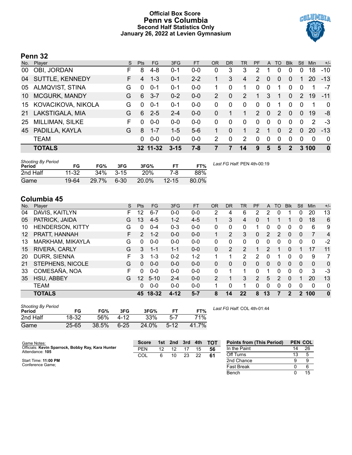# **Official Box Score Penn vs Columbia Second Half Statistics Only January 26, 2022 at Levien Gymnasium**



# **Penn 32**

| No. | Player                 | S  | <b>Pts</b> | <b>FG</b> | 3FG      | <b>FT</b> | <b>OR</b> | DR          | TR             | <b>PF</b>      | $\mathsf{A}$ | TO       | <b>B</b> lk    | Stl           | <b>Min</b>  | $+/-$        |
|-----|------------------------|----|------------|-----------|----------|-----------|-----------|-------------|----------------|----------------|--------------|----------|----------------|---------------|-------------|--------------|
| 00  | OBI, JORDAN            | F  | 8          | 4-8       | $0 - 1$  | 0-0       | 0         | 3           | 3              | 2              |              |          | 0              | 0             | 18          | $-10$        |
| 04  | SUTTLE, KENNEDY        | F. | 4          | $1 - 3$   | $0 - 1$  | $2 - 2$   |           | 3           | 4              | 2              | $\Omega$     | $\Omega$ | $\Omega$       |               | 20          | $-13$        |
| 05  | <b>ALMQVIST, STINA</b> | G  | 0          | $0 - 1$   | $0 - 1$  | $0 - 0$   |           | 0           | 1              | 0              | 0            |          | 0              | 0             | 1           | -7           |
| 10  | <b>MCGURK, MANDY</b>   | G  | 6          | $3 - 7$   | $0 - 2$  | $0 - 0$   | 2         | $\Omega$    | 2              | 1              | 3            | 1        | $\Omega$       | $\mathcal{P}$ | 19          | $-11$        |
| 15  | KOVACIKOVA, NIKOLA     | G  | 0          | $0 - 1$   | $0 - 1$  | $0 - 0$   | 0         | 0           | 0              | 0              | 0            |          | 0              | 0             | 1           | $\mathbf{0}$ |
| 21  | LAKSTIGALA, MIA        | G  | 6          | $2 - 5$   | $2 - 4$  | $0 - 0$   | $\Omega$  |             | 1              | 2              | $\mathbf{0}$ | 2        | $\mathbf{0}$   | 0             | 19          | -8           |
| 25  | <b>MILLIMAN, SILKE</b> | F  | 0          | $0 - 0$   | $0-0$    | $0-0$     | $\Omega$  | $\Omega$    | $\Omega$       | $\Omega$       | $\Omega$     | $\Omega$ | 0              | 0             | 2           | $-3$         |
| 45  | PADILLA, KAYLA         | G  | 8          | $1 - 7$   | $1 - 5$  | $5-6$     |           | $\Omega$    | 1              | $\overline{2}$ |              | $\Omega$ | $\overline{2}$ | 0             | 20          | $-13$        |
|     | <b>TEAM</b>            |    | 0          | $0 - 0$   | $0 - 0$  | $0 - 0$   | 2         | $\mathbf 0$ | $\overline{2}$ | 0              | $\mathbf{0}$ | $\Omega$ | $\Omega$       | 0             | $\mathbf 0$ | $\mathbf{0}$ |
|     | <b>TOTALS</b>          |    |            | 32 11-32  | $3 - 15$ | $7 - 8$   |           |             | 14             | 9              | 5            | 5        | $\overline{2}$ |               | 3 100       | $\bf{0}$     |

| Shooting By Period<br><b>Period</b> | FG        | FG%   | 3FG      | 3FG%       | FT        | FT%   | Last FG Half: PEN 4th-00:19 |
|-------------------------------------|-----------|-------|----------|------------|-----------|-------|-----------------------------|
| 2nd Half                            | $11 - 32$ | 34%   | $3 - 15$ | <b>20%</b> | 7-8       | 88%   |                             |
| Game                                | 19-64     | 29.7% | $6 - 30$ | 20.0%      | $12 - 15$ | 80.0% |                             |

# **Columbia 45**

| No. | Plaver                  | S  | <b>Pts</b>      | FG        | 3FG      | <b>FT</b> | <b>OR</b>      | <b>DR</b> | TR             | <b>PF</b>     | A        | TO            | <b>Blk</b>     | Stl      | Min         | $+/-$        |
|-----|-------------------------|----|-----------------|-----------|----------|-----------|----------------|-----------|----------------|---------------|----------|---------------|----------------|----------|-------------|--------------|
| 04  | DAVIS, KAITLYN          | F  | 12              | $6 - 7$   | $0 - 0$  | $0 - 0$   | $\overline{2}$ | 4         | 6              | 2             | 2        | 0             |                | 0        | 20          | 13           |
| 05  | PATRICK, JAIDA          | G  | 13              | $4-5$     | $1 - 2$  | $4 - 5$   |                | 3         | 4              | 0             |          |               |                | 0        | 18          | 6            |
| 10  | <b>HENDERSON, KITTY</b> | G  | $\Omega$        | $0 - 4$   | $0 - 3$  | $0 - 0$   | 0              | 0         | $\Omega$       |               | 0        | 0             | 0              | 0        | 6           | 9            |
| 12  | PRATT, HANNAH           | F  | $\mathcal{P}$   | $1 - 2$   | $0 - 0$  | $0 - 0$   |                | 2         | 3              | 0             | 2        | 2             | $\overline{0}$ | 0        | 7           | 4            |
| 13  | MARKHAM, MIKAYLA        | G  | 0               | $0 - 0$   | $0 - 0$  | $0 - 0$   | 0              | 0         | 0              | 0             | 0        | 0             | 0              | 0        | 0           | $-2$         |
| 15  | RIVERA, CARLY           | G  | 3               | $1 - 1$   | $1 - 1$  | $0 - 0$   | 0              | 2         | $\overline{2}$ |               | 2        |               | 0              |          | 17          | 11           |
| 20  | DURR, SIENNA            | F  | 3               | $1 - 3$   | $0 - 2$  | $1 - 2$   | 4              |           | 2              | 2             | $\Omega$ |               | $\Omega$       | $\Omega$ | 9           | 7            |
| 21  | STEPHENS, NICOLE        | G  | $\Omega$        | $0 - 0$   | $0 - 0$  | $0 - 0$   | 0              | 0         | $\Omega$       | $\Omega$      | 0        | 0             | $\mathbf{0}$   | $\Omega$ | 0           | $\mathbf{0}$ |
| 33  | COMESAÑA, NOA           | F. | 0               | $0 - 0$   | $0 - 0$  | $0 - 0$   | 0              |           |                | 0             | 1        | 0             | 0              | 0        | 3           | -3           |
| 35  | HSU, ABBEY              | G  | 12 <sup>2</sup> | $5 - 10$  | $2 - 4$  | $0 - 0$   | 2              |           | 3              | $\mathcal{P}$ | 5        | $\mathcal{P}$ | $\Omega$       |          | 20          | 13           |
|     | <b>TEAM</b>             |    | 0               | $0 - 0$   | $0 - 0$  | $0 - 0$   |                | $\Omega$  |                | 0             | 0        | 0             | 0              | 0        | $\mathbf 0$ | 0            |
|     | <b>TOTALS</b>           |    | 45.             | $18 - 32$ | $4 - 12$ | $5 - 7$   | 8              | 14        | 22             | 8             | 13       |               | 2              | 2        | 100         | $\mathbf 0$  |

| <b>Shooting By Period</b><br>Period | FG        | FG%   | 3FG      | 3FG%  |          | FT%   |
|-------------------------------------|-----------|-------|----------|-------|----------|-------|
| 2nd Half                            | 18-32     | 56%   | 4-12     | 33%   | 5-7      | 71%   |
| Game                                | $25 - 65$ | 38.5% | $6 - 25$ | 24.0% | $5 - 12$ | 41.7% |

*Last FG Half:* COL 4th-01:44

| Game Notes:                                                          | <b>Score</b> |    | 1st 2nd 3rd 4th |    |    | <b>- тот</b> | <b>Points from (This Period)</b> | <b>PEN COL</b> |    |
|----------------------------------------------------------------------|--------------|----|-----------------|----|----|--------------|----------------------------------|----------------|----|
| Officials: Kevin Sparrock, Bobby Ray, Kara Hunter<br>Attendance: 105 | <b>PEN</b>   | 12 |                 |    | 15 | -56          | In the Paint                     | 14             | 26 |
|                                                                      | COL          |    | 10              | 23 | 22 | -61          | Off Turns                        |                |    |
| Start Time: 11:00 PM                                                 |              |    |                 |    |    |              | 2nd Chance                       |                |    |
| Conference Game;                                                     |              |    |                 |    |    |              | Fast Break                       |                |    |
|                                                                      |              |    |                 |    |    |              | Bench                            |                | 15 |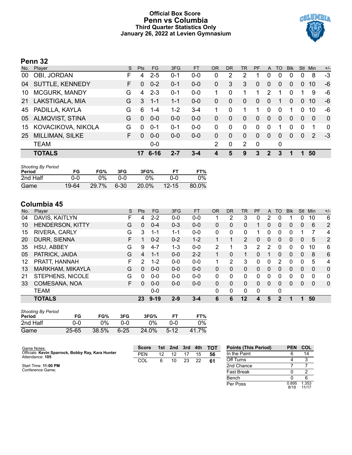# **Official Box Score Penn vs Columbia Third Quarter Statistics Only January 26, 2022 at Levien Gymnasium**



# **Penn 32**

| No. | Player               | S. | Pts      | FG.      | 3FG     | <b>FT</b> | OR | <b>DR</b> | TR             | <b>PF</b>      | A            | TO       | <b>B</b> lk | Stl            | Min      | $+/-$          |
|-----|----------------------|----|----------|----------|---------|-----------|----|-----------|----------------|----------------|--------------|----------|-------------|----------------|----------|----------------|
| 00  | OBI, JORDAN          | F  | 4        | $2 - 5$  | 0-1     | $0 - 0$   | 0  | 2         | 2              |                | 0            | 0        | 0           |                | 8        | $-3$           |
| 04  | SUTTLE, KENNEDY      | F. | $\Omega$ | $0 - 2$  | $0 - 1$ | $0-0$     | 0  | 3         | 3              | $\Omega$       | 0            | 0        | 0           | $\overline{0}$ | 10       | -6             |
| 10  | <b>MCGURK, MANDY</b> | G  | 4        | $2 - 3$  | 0-1     | $0-0$     |    | 0         |                | 1              | 2            |          | 0           |                | 9        | -6             |
| 21  | LAKSTIGALA, MIA      | G  | 3        | $1 - 1$  | $1 - 1$ | $0-0$     | 0  | $\Omega$  | $\overline{0}$ | $\overline{0}$ | 0            | 1        | 0           | $\Omega$       | 10       | -6             |
| 45  | PADILLA, KAYLA       | G  | 6        | $1 - 4$  | $1 - 2$ | $3 - 4$   |    | 0         |                | 1.             | 0            | $\Omega$ | 1           | $\Omega$       | 10       | -6             |
| 05  | ALMQVIST, STINA      | G  | $\Omega$ | $0 - 0$  | $0 - 0$ | $0-0$     | 0  | 0         | $\Omega$       | 0              | $\Omega$     | 0        | 0           | $\Omega$       | $\Omega$ | $\Omega$       |
| 15  | KOVACIKOVA, NIKOLA   | G  | $\Omega$ | $0 - 1$  | 0-1     | $0 - 0$   | 0  | 0         | $\Omega$       | $\Omega$       | 0            |          | 0           | $\Omega$       | 1        | $\overline{0}$ |
| 25  | MILLIMAN, SILKE      | F. | $\Omega$ | $0 - 0$  | $0 - 0$ | $0 - 0$   | 0  | 0         | $\Omega$       | 0              | $\Omega$     | 0        | 0           | $\Omega$       | 2        | $-3$           |
|     | <b>TEAM</b>          |    |          | $0-0$    |         |           | 2  | 0         | 2              | $\mathbf 0$    |              | 0        |             |                |          |                |
|     | <b>TOTALS</b>        |    | 17       | $6 - 16$ | $2 - 7$ | $3 - 4$   | 4  | 5         | 9              | 3              | $\mathbf{2}$ | 3        |             |                | 50       |                |

| <b>Shooting By Period</b><br>Period | FG    | FG%   | 3FG  | 3FG%  | FT        | FT%   |
|-------------------------------------|-------|-------|------|-------|-----------|-------|
| 2nd Half                            | ი-ი   | ገ%    | ი-ი  | $0\%$ | ი-ი       | $0\%$ |
| Game                                | 19-64 | 29.7% | 6-30 | 20.0% | $12 - 15$ | 80.0% |

# **Columbia 45**

| No. | Player           | S | <b>Pts</b> | <b>FG</b> | 3FG     | <b>FT</b> | 0R       | <b>DR</b> | <b>TR</b>      | PF            | A              | TO       | <b>B</b> lk | Stl            | Min      | $+/-$        |
|-----|------------------|---|------------|-----------|---------|-----------|----------|-----------|----------------|---------------|----------------|----------|-------------|----------------|----------|--------------|
| 04  | DAVIS, KAITLYN   | F | 4          | $2 - 2$   | $0 - 0$ | $0-0$     |          | 2         | 3              | 0             | 2              |          |             | 0              | 10       | 6            |
| 10  | HENDERSON, KITTY | G | 0          | $0 - 4$   | $0 - 3$ | $0 - 0$   | 0        | 0         | 0              |               | 0              | 0        | 0           | 0              | 6        | 2            |
| 15  | RIVERA, CARLY    | G | 3          | 1-1       | $1 - 1$ | $0-0$     | 0        | 0         | 0              |               | 0              | 0        | 0           |                |          | 4            |
| 20  | DURR, SIENNA     | F |            | $0 - 2$   | $0 - 2$ | $1 - 2$   |          |           | $\overline{2}$ | 0             | $\Omega$       | $\Omega$ | 0           | $\Omega$       | 5        | 2            |
| 35  | HSU, ABBEY       | G | 9          | $4 - 7$   | $1 - 3$ | $0 - 0$   | 2        | 1         | 3              | $\mathcal{P}$ | 2              | $\Omega$ | 0           | $\Omega$       | 10       | 6            |
| 05  | PATRICK, JAIDA   | G | 4          | $1 - 1$   | $0 - 0$ | $2 - 2$   | 1        | $\Omega$  | 1.             | 0             |                | $\Omega$ | $\Omega$    | $\mathbf{0}$   | 8        | 6            |
| 12  | PRATT, HANNAH    | F | 2          | $1 - 2$   | $0 - 0$ | $0 - 0$   |          | 2         | 3              | 0             | 0              | 2        | 0           | 0              | 5        | 4            |
| 13  | MARKHAM, MIKAYLA | G | $\Omega$   | $0 - 0$   | $0 - 0$ | $0 - 0$   | 0        | 0         | 0              | 0             | $\overline{0}$ | $\Omega$ | 0           | $\overline{0}$ | 0        | $\mathbf 0$  |
| 21  | STEPHENS, NICOLE | G | 0          | $0 - 0$   | $0 - 0$ | $0 - 0$   | 0        | 0         | $\mathbf{0}$   | 0             | 0              | ∩        | 0           | 0              | 0        | 0            |
| 33  | COMESAÑA, NOA    | F | 0          | $0 - 0$   | $0 - 0$ | $0 - 0$   | $\Omega$ | 0         | $\Omega$       | 0             | 0              | $\Omega$ | 0           | $\Omega$       | $\Omega$ | $\mathbf{0}$ |
|     | <b>TEAM</b>      |   |            | $0 - 0$   |         |           | 0        | 0         | $\mathbf{0}$   | 0             |                | 0        |             |                |          |              |
|     | <b>TOTALS</b>    |   | 23         | $9 - 19$  | $2 - 9$ | $3 - 4$   | 6        | 6         | $12 \,$        | 4             | 5              | 2        | 1           |                | 50       |              |

| <b>Shooting By Period</b><br>Period | FG        | FG%   | 3FG      | 3FG%  |          | FT%   |
|-------------------------------------|-----------|-------|----------|-------|----------|-------|
| 2nd Half                            | ი-ი       | 0%    | ი-ი      | 0%    | ი-ი      | ገ%    |
| Game                                | $25 - 65$ | 38.5% | $6 - 25$ | 24.0% | $5 - 12$ | 41.7% |

| Game Notes:                                                          | <b>Score</b> | 1st l | 2nd 3rd |    | 4th | <b>TOT</b> | <b>Points (This Period)</b> | <b>PEN</b>    | <b>COL</b>    |
|----------------------------------------------------------------------|--------------|-------|---------|----|-----|------------|-----------------------------|---------------|---------------|
| Officials: Kevin Sparrock, Bobby Ray, Kara Hunter<br>Attendance: 105 | <b>PEN</b>   | 12    |         |    | 15  | 56         | In the Paint                |               | 14            |
|                                                                      | COL          | 6.    | 10      | 23 | 22  | 61         | Off Turns                   |               |               |
| Start Time: 11:00 PM                                                 |              |       |         |    |     |            | 2nd Chance                  |               |               |
| Conference Game;                                                     |              |       |         |    |     |            | <b>Fast Break</b>           |               |               |
|                                                                      |              |       |         |    |     |            | Bench                       |               |               |
|                                                                      |              |       |         |    |     |            | Per Poss                    | 0.895<br>8/19 | .353<br>11/17 |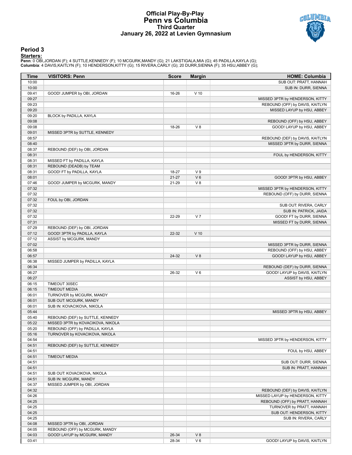## **Official Play-By-Play Penn vs Columbia Third Quarter January 26, 2022 at Levien Gymnasium**



## **Period 3**

<mark>Starters:</mark><br>Penn: 0 OBI,JORDAN (F); 4 SUTTLE,KENNEDY (F); 10 MCGURK,MANDY (G); 21 LAKSTIGALA,MIA (G); 45 PADILLA,KAYLA (G);<br>**Columbia**: 4 DAVIS,KAITLYN (F); 10 HENDERSON,KITTY (G); 15 RIVERA,CARLY (G); 20 DURR,SIENNA (F);

| Time           | <b>VISITORS: Penn</b>                                                 | <b>Score</b> | <b>Margin</b>  | <b>HOME: Columbia</b>            |
|----------------|-----------------------------------------------------------------------|--------------|----------------|----------------------------------|
| 10:00          |                                                                       |              |                | SUB OUT: PRATT, HANNAH           |
| 10:00          |                                                                       |              |                | SUB IN: DURR, SIENNA             |
| 09:41          | GOOD! JUMPER by OBI, JORDAN                                           | 16-26        | $V$ 10         |                                  |
| 09:27          |                                                                       |              |                | MISSED 3PTR by HENDERSON, KITTY  |
| 09:23          |                                                                       |              |                | REBOUND (OFF) by DAVIS, KAITLYN  |
| 09:20          |                                                                       |              |                | MISSED LAYUP by HSU, ABBEY       |
| 09:20          | BLOCK by PADILLA, KAYLA                                               |              |                |                                  |
| 09:08          |                                                                       |              |                | REBOUND (OFF) by HSU, ABBEY      |
| 09:08          |                                                                       | 18-26        | V8             | GOOD! LAYUP by HSU, ABBEY        |
| 09:01          | MISSED 3PTR by SUTTLE, KENNEDY                                        |              |                |                                  |
| 08:57          |                                                                       |              |                | REBOUND (DEF) by DAVIS, KAITLYN  |
| 08:40          |                                                                       |              |                | MISSED 3PTR by DURR, SIENNA      |
| 08:37          | REBOUND (DEF) by OBI, JORDAN                                          |              |                |                                  |
| 08:31          |                                                                       |              |                | FOUL by HENDERSON, KITTY         |
| 08:31          | MISSED FT by PADILLA, KAYLA                                           |              |                |                                  |
| 08:31          | REBOUND (DEADB) by TEAM                                               |              |                |                                  |
| 08:31          | GOOD! FT by PADILLA, KAYLA                                            | 18-27        | V <sub>9</sub> |                                  |
| 08:01          |                                                                       | $21 - 27$    | $V_6$          | GOOD! 3PTR by HSU, ABBEY         |
| 07:46          | GOOD! JUMPER by MCGURK, MANDY                                         | 21-29        | V8             |                                  |
| 07:32          |                                                                       |              |                | MISSED 3PTR by HENDERSON, KITTY  |
| 07:32          |                                                                       |              |                | REBOUND (OFF) by DURR, SIENNA    |
| 07:32          | FOUL by OBI, JORDAN                                                   |              |                |                                  |
| 07:32          |                                                                       |              |                | SUB OUT: RIVERA, CARLY           |
| 07:32          |                                                                       |              |                | SUB IN: PATRICK, JAIDA           |
| 07:32          |                                                                       | 22-29        | V <sub>7</sub> | GOOD! FT by DURR, SIENNA         |
| 07:31          |                                                                       |              |                | MISSED FT by DURR, SIENNA        |
| 07:29          | REBOUND (DEF) by OBI, JORDAN                                          |              |                |                                  |
| 07:12          | GOOD! 3PTR by PADILLA, KAYLA                                          | 22-32        | $V$ 10         |                                  |
| 07:12          | ASSIST by MCGURK, MANDY                                               |              |                |                                  |
| 07:02          |                                                                       |              |                | MISSED 3PTR by DURR, SIENNA      |
| 06:58          |                                                                       |              |                | REBOUND (OFF) by HSU, ABBEY      |
| 06:57          |                                                                       | 24-32        | V8             | GOOD! LAYUP by HSU, ABBEY        |
| 06:38          | MISSED JUMPER by PADILLA, KAYLA                                       |              |                |                                  |
| 06:34          |                                                                       |              |                | REBOUND (DEF) by DURR, SIENNA    |
| 06:27          |                                                                       | 26-32        | $V_6$          | GOOD! LAYUP by DAVIS, KAITLYN    |
| 06:27          |                                                                       |              |                | ASSIST by HSU, ABBEY             |
| 06:15          | TIMEOUT 30SEC                                                         |              |                |                                  |
| 06:15          | <b>TIMEOUT MEDIA</b>                                                  |              |                |                                  |
| 06:01          | TURNOVER by MCGURK, MANDY<br>SUB OUT: MCGURK, MANDY                   |              |                |                                  |
| 06:01          |                                                                       |              |                |                                  |
| 06:01<br>05:44 | SUB IN: KOVACIKOVA, NIKOLA                                            |              |                | MISSED 3PTR by HSU, ABBEY        |
| 05:40          |                                                                       |              |                |                                  |
| 05:22          | REBOUND (DEF) by SUTTLE, KENNEDY<br>MISSED 3PTR by KOVACIKOVA, NIKOLA |              |                |                                  |
| 05:20          | REBOUND (OFF) by PADILLA, KAYLA                                       |              |                |                                  |
| 05:16          | TURNOVER by KOVACIKOVA, NIKOLA                                        |              |                |                                  |
| 04:54          |                                                                       |              |                | MISSED 3PTR by HENDERSON, KITTY  |
| 04:51          | REBOUND (DEF) by SUTTLE, KENNEDY                                      |              |                |                                  |
| 04:51          |                                                                       |              |                | FOUL by HSU, ABBEY               |
| 04:51          | <b>TIMEOUT MEDIA</b>                                                  |              |                |                                  |
| 04:51          |                                                                       |              |                | SUB OUT: DURR, SIENNA            |
| 04:51          |                                                                       |              |                | SUB IN: PRATT, HANNAH            |
| 04:51          | SUB OUT: KOVACIKOVA, NIKOLA                                           |              |                |                                  |
| 04:51          | SUB IN: MCGURK, MANDY                                                 |              |                |                                  |
| 04:37          | MISSED JUMPER by OBI, JORDAN                                          |              |                |                                  |
| 04:32          |                                                                       |              |                | REBOUND (DEF) by DAVIS, KAITLYN  |
| 04:26          |                                                                       |              |                | MISSED LAYUP by HENDERSON, KITTY |
| 04:25          |                                                                       |              |                | REBOUND (OFF) by PRATT, HANNAH   |
| 04:25          |                                                                       |              |                | TURNOVER by PRATT, HANNAH        |
| 04:25          |                                                                       |              |                | SUB OUT: HENDERSON, KITTY        |
| 04:25          |                                                                       |              |                | SUB IN: RIVERA, CARLY            |
| 04:08          | MISSED 3PTR by OBI, JORDAN                                            |              |                |                                  |
| 04:05          | REBOUND (OFF) by MCGURK, MANDY                                        |              |                |                                  |
| 04:03          | GOOD! LAYUP by MCGURK, MANDY                                          | 26-34        | V8             |                                  |
| 03:41          |                                                                       | 28-34        | $V_6$          | GOOD! LAYUP by DAVIS, KAITLYN    |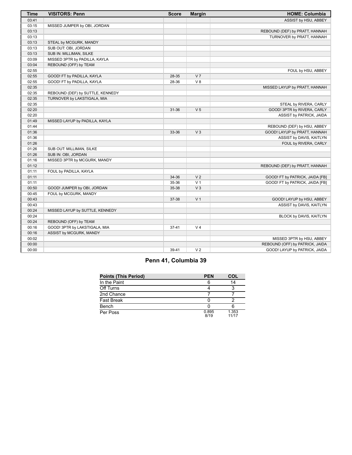| <b>Time</b> | <b>VISITORS: Penn</b>            | <b>Score</b> | <b>Margin</b>  | <b>HOME: Columbia</b>           |
|-------------|----------------------------------|--------------|----------------|---------------------------------|
| 03:41       |                                  |              |                | ASSIST by HSU, ABBEY            |
| 03:15       | MISSED JUMPER by OBI, JORDAN     |              |                |                                 |
| 03:13       |                                  |              |                | REBOUND (DEF) by PRATT, HANNAH  |
| 03:13       |                                  |              |                | TURNOVER by PRATT, HANNAH       |
| 03:13       | STEAL by MCGURK, MANDY           |              |                |                                 |
| 03:13       | SUB OUT: OBI, JORDAN             |              |                |                                 |
| 03:13       | SUB IN: MILLIMAN, SILKE          |              |                |                                 |
| 03:09       | MISSED 3PTR by PADILLA, KAYLA    |              |                |                                 |
| 03:04       | REBOUND (OFF) by TEAM            |              |                |                                 |
| 02:55       |                                  |              |                | FOUL by HSU, ABBEY              |
| 02:55       | GOOD! FT by PADILLA, KAYLA       | 28-35        | V <sub>7</sub> |                                 |
| 02:55       | GOOD! FT by PADILLA, KAYLA       | 28-36        | V8             |                                 |
| 02:35       |                                  |              |                | MISSED LAYUP by PRATT, HANNAH   |
| 02:35       | REBOUND (DEF) by SUTTLE, KENNEDY |              |                |                                 |
| 02:35       | TURNOVER by LAKSTIGALA, MIA      |              |                |                                 |
| 02:35       |                                  |              |                | STEAL by RIVERA, CARLY          |
| 02:20       |                                  | 31-36        | V <sub>5</sub> | GOOD! 3PTR by RIVERA, CARLY     |
| 02:20       |                                  |              |                | ASSIST by PATRICK, JAIDA        |
| 01:49       | MISSED LAYUP by PADILLA, KAYLA   |              |                |                                 |
| 01:44       |                                  |              |                | REBOUND (DEF) by HSU, ABBEY     |
| 01:36       |                                  | 33-36        | $V_3$          | GOOD! LAYUP by PRATT, HANNAH    |
| 01:36       |                                  |              |                | ASSIST by DAVIS, KAITLYN        |
| 01:26       |                                  |              |                | FOUL by RIVERA, CARLY           |
| 01:26       | SUB OUT: MILLIMAN, SILKE         |              |                |                                 |
| 01:26       | SUB IN: OBI, JORDAN              |              |                |                                 |
| 01:16       | MISSED 3PTR by MCGURK, MANDY     |              |                |                                 |
| 01:12       |                                  |              |                | REBOUND (DEF) by PRATT, HANNAH  |
| 01:11       | FOUL by PADILLA, KAYLA           |              |                |                                 |
| 01:11       |                                  | 34-36        | V <sub>2</sub> | GOOD! FT by PATRICK, JAIDA [FB] |
| 01:11       |                                  | 35-36        | V <sub>1</sub> | GOOD! FT by PATRICK, JAIDA [FB] |
| 00:50       | GOOD! JUMPER by OBI, JORDAN      | 35-38        | V <sub>3</sub> |                                 |
| 00:45       | FOUL by MCGURK, MANDY            |              |                |                                 |
| 00:43       |                                  | 37-38        | V <sub>1</sub> | GOOD! LAYUP by HSU, ABBEY       |
| 00:43       |                                  |              |                | ASSIST by DAVIS, KAITLYN        |
| 00:24       | MISSED LAYUP by SUTTLE, KENNEDY  |              |                |                                 |
| 00:24       |                                  |              |                | BLOCK by DAVIS, KAITLYN         |
| 00:24       | REBOUND (OFF) by TEAM            |              |                |                                 |
| 00:16       | GOOD! 3PTR by LAKSTIGALA, MIA    | $37 - 41$    | V <sub>4</sub> |                                 |
| 00:16       | ASSIST by MCGURK, MANDY          |              |                |                                 |
| 00:02       |                                  |              |                | MISSED 3PTR by HSU, ABBEY       |
| 00:00       |                                  |              |                | REBOUND (OFF) by PATRICK, JAIDA |
| 00:00       |                                  | 39-41        | V <sub>2</sub> | GOOD! LAYUP by PATRICK, JAIDA   |

# **Penn 41, Columbia 39**

| <b>Points (This Period)</b> | <b>PEN</b>    | COL            |
|-----------------------------|---------------|----------------|
| In the Paint                |               | 14             |
| Off Turns                   |               |                |
| 2nd Chance                  |               |                |
| <b>Fast Break</b>           |               |                |
| Bench                       |               |                |
| Per Poss                    | 0.895<br>8/19 | 1.353<br>11/17 |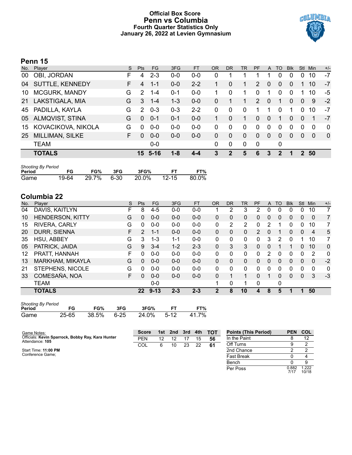# **Official Box Score Penn vs Columbia Fourth Quarter Statistics Only January 26, 2022 at Levien Gymnasium**



# **Penn 15**

| No. | Player                 | S  | <b>Pts</b>    | <b>FG</b>   | 3FG     | <b>FT</b> | OR       | <b>DR</b>   | TR       | <b>PF</b>             | A              | TO       | <b>Blk</b> | Stl          | Min      | $+/-$          |
|-----|------------------------|----|---------------|-------------|---------|-----------|----------|-------------|----------|-----------------------|----------------|----------|------------|--------------|----------|----------------|
| 00  | OBI, JORDAN            | F  | 4             | $2 - 3$     | $0 - 0$ | $0-0$     | 0        |             |          | 1                     |                | 0        | 0          | 0            | 10       | $-7$           |
| 04  | SUTTLE, KENNEDY        | F. | 4             | $1 - 1$     | $0 - 0$ | $2 - 2$   |          | $\Omega$    |          | $\mathbf{2}^{\prime}$ | $\overline{0}$ | 0        | 0          |              | 10       | $-7$           |
| 10  | <b>MCGURK, MANDY</b>   | G  | $\mathcal{P}$ | $1 - 4$     | $0 - 1$ | $0-0$     | 1.       | $\Omega$    | 1.       | 0                     | 1              | $\Omega$ | $\Omega$   | 1.           | 10       | -5             |
| 21  | LAKSTIGALA, MIA        | G  | 3             | $1 - 4$     | $1 - 3$ | $0-0$     | 0        |             |          | $\mathcal{P}$         | $\Omega$       |          | $\Omega$   | $\Omega$     | 9        | $-2$           |
| 45  | PADILLA, KAYLA         | G  | $\mathcal{P}$ | $0 - 3$     | $0 - 3$ | $2 - 2$   | $\Omega$ | $\Omega$    | $\Omega$ |                       |                | 0        | 1          | $\Omega$     | 10       | -7             |
| 05  | <b>ALMQVIST, STINA</b> | G  | $\Omega$      | $0 - 1$     | $0 - 1$ | $0-0$     | 1        | $\Omega$    | 1        | $\Omega$              | $\Omega$       |          | $\Omega$   | $\Omega$     | 1        | $-7$           |
| 15  | KOVACIKOVA, NIKOLA     | G  | $\Omega$      | $0 - 0$     | $0 - 0$ | $0-0$     | $\Omega$ | 0           | $\Omega$ | 0                     | $\Omega$       | 0        | $\Omega$   | $\Omega$     | $\Omega$ | $\mathbf 0$    |
| 25  | MILLIMAN, SILKE        | F. | 0             | $0 - 0$     | $0 - 0$ | $0-0$     | $\Omega$ | $\Omega$    | $\Omega$ | $\Omega$              | $\Omega$       | $\Omega$ | $\Omega$   | $\Omega$     | $\Omega$ | $\overline{0}$ |
|     | <b>TEAM</b>            |    |               | $0-0$       |         |           | $\Omega$ | 0           | $\Omega$ | $\mathbf 0$           |                | 0        |            |              |          |                |
|     | <b>TOTALS</b>          |    |               | $15 \t5-16$ | $1 - 8$ | $4 - 4$   | 3        | $\mathbf 2$ | 5        | 6                     | 3              | 2        | и          | $\mathbf{P}$ | 50       |                |

| <b>Shooting By Period</b> |       |       |      |       |           |       |
|---------------------------|-------|-------|------|-------|-----------|-------|
| Period                    | FG    | FG%   | 3FG  | 3FG%  | FТ        | FT%   |
| Game                      | 19-64 | 29.7% | 6-30 | 20.0% | $12 - 15$ | 80.0% |

# **Columbia 22**

| No. | Player                  | S  | Pts      | <b>FG</b> | 3FG     | <b>FT</b> | <b>OR</b> | <b>DR</b> | TR             | PF       | A | <b>TO</b> | <b>Blk</b>   | Stl      | Min          | $+/-$        |
|-----|-------------------------|----|----------|-----------|---------|-----------|-----------|-----------|----------------|----------|---|-----------|--------------|----------|--------------|--------------|
| 04  | DAVIS, KAITLYN          | F  | 8        | $4 - 5$   | $0 - 0$ | $0-0$     |           | 2         | 3              | 2        | 0 | 0         |              | 0        | 10           |              |
| 10  | <b>HENDERSON, KITTY</b> | G  | 0        | $0 - 0$   | $0 - 0$ | $0 - 0$   | 0         | 0         | 0              | 0        | 0 | 0         | U            | 0        | 0            | 7            |
| 15  | RIVERA, CARLY           | G  | 0        | $0-0$     | $0 - 0$ | $0-0$     | 0         | 2         | $\overline{2}$ | 0        | 2 |           | 0            | 0        | 10           | 7            |
| 20  | DURR, SIENNA            | F. | 2        | $1 - 1$   | $0 - 0$ | $0 - 0$   | 0         | 0         | 0              | 2        | 0 |           | 0            | $\Omega$ | 4            | 5            |
| 35  | HSU, ABBEY              | G  | 3        | $1 - 3$   | $1 - 1$ | $0-0$     | 0         | $\Omega$  | 0              | $\Omega$ | 3 | 2         | 0            | 1        | 10           | 7            |
| 05  | PATRICK, JAIDA          | G  | 9        | $3 - 4$   | $1 - 2$ | $2 - 3$   | 0         | 3         | 3              | 0        | 0 |           |              | $\Omega$ | 10           | $\mathbf{0}$ |
| 12  | PRATT, HANNAH           | F  | 0        | $0 - 0$   | $0 - 0$ | $0 - 0$   | 0         | $\Omega$  | 0              | 0        | 2 | 0         | 0            | $\Omega$ | 2            | $\mathbf 0$  |
| 13  | MARKHAM, MIKAYLA        | G  | $\Omega$ | $0 - 0$   | $0 - 0$ | $0 - 0$   | 0         | $\Omega$  | 0              | 0        | 0 | 0         | $\Omega$     | $\Omega$ | $\mathbf{0}$ | $-2$         |
| 21  | STEPHENS, NICOLE        | G  | $\Omega$ | $0 - 0$   | $0 - 0$ | $0 - 0$   | 0         | $\Omega$  | 0              | 0        | 0 | 0         | <sup>0</sup> | 0        | 0            | $\mathbf 0$  |
| 33  | COMESAÑA, NOA           | F. | 0        | $0 - 0$   | $0 - 0$ | $0 - 0$   | 0         | 1         | 1              | $\Omega$ |   | 0         | 0            | $\Omega$ | 3            | $-3$         |
|     | <b>TEAM</b>             |    |          | $0 - 0$   |         |           | 1         | 0         |                | 0        |   | 0         |              |          |              |              |
|     | <b>TOTALS</b>           |    | 22       | $9 - 13$  | $2 - 3$ | $2 - 3$   | 2         | 8         | 10             | 4        | 8 | 5         |              | 1        | 50           |              |

| <b>Shooting By Period</b> |       |            |     |            |  |       |  |  |  |
|---------------------------|-------|------------|-----|------------|--|-------|--|--|--|
| Period                    | FG    | FG%        | 3FG | 3FG%       |  | FT%   |  |  |  |
| Game                      | 25-65 | 38.5% 6-25 |     | 24.0% 5-12 |  | 41.7% |  |  |  |

| Game Notes:                                                          | <b>Score</b> | 1st | 2nd | 3rd | 4th | TOT | <b>Points (This Period)</b> | <b>PEN</b> | <b>COL</b> |
|----------------------------------------------------------------------|--------------|-----|-----|-----|-----|-----|-----------------------------|------------|------------|
| Officials: Kevin Sparrock, Bobby Ray, Kara Hunter<br>Attendance: 105 | <b>PEN</b>   | 12  |     |     | 15  | 56  | In the Paint                |            | 12         |
|                                                                      | COL          |     |     | 23  | 22  | -61 | Off Turns                   |            |            |
| Start Time: 11:00 PM                                                 |              |     |     |     |     |     | 2nd Chance                  |            |            |
| Conference Game:                                                     |              |     |     |     |     |     | Fast Break                  |            |            |
|                                                                      |              |     |     |     |     |     | Bench                       |            |            |

Per Poss

 $0.882$ <br> $7/17$ 

1.222 10/18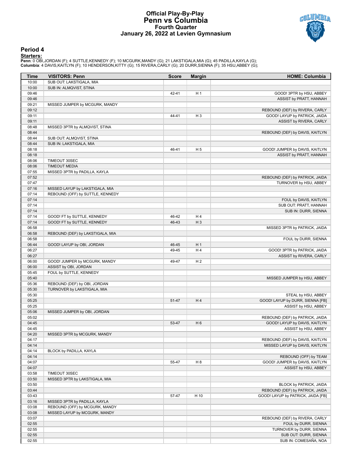### **Official Play-By-Play Penn vs Columbia Fourth Quarter January 26, 2022 at Levien Gymnasium**



### **Period 4**

<mark>Starters:</mark><br>Penn: 0 OBI,JORDAN (F); 4 SUTTLE,KENNEDY (F); 10 MCGURK,MANDY (G); 21 LAKSTIGALA,MIA (G); 45 PADILLA,KAYLA (G);<br>**Columbia**: 4 DAVIS,KAITLYN (F); 10 HENDERSON,KITTY (G); 15 RIVERA,CARLY (G); 20 DURR,SIENNA (F);

| Time           | <b>VISITORS: Penn</b><br>SUB OUT: LAKSTIGALA, MIA          | <b>Score</b>   | <b>Margin</b>  | <b>HOME: Columbia</b>                                   |
|----------------|------------------------------------------------------------|----------------|----------------|---------------------------------------------------------|
| 10:00<br>10:00 | SUB IN: ALMQVIST, STINA                                    |                |                |                                                         |
| 09:46          |                                                            | 42-41          | H <sub>1</sub> | GOOD! 3PTR by HSU, ABBEY                                |
| 09:46          |                                                            |                |                | ASSIST by PRATT, HANNAH                                 |
| 09:21          | MISSED JUMPER by MCGURK, MANDY                             |                |                |                                                         |
| 09:12          |                                                            |                |                | REBOUND (DEF) by RIVERA, CARLY                          |
| 09:11          |                                                            | 44-41          | $H_3$          | GOOD! LAYUP by PATRICK, JAIDA                           |
| 09:11          |                                                            |                |                | ASSIST by RIVERA, CARLY                                 |
| 08:48          | MISSED 3PTR by ALMQVIST, STINA                             |                |                |                                                         |
| 08:44          |                                                            |                |                | REBOUND (DEF) by DAVIS, KAITLYN                         |
| 08:44<br>08:44 | SUB OUT: ALMQVIST, STINA<br>SUB IN: LAKSTIGALA, MIA        |                |                |                                                         |
| 08:18          |                                                            | 46-41          | H <sub>5</sub> | GOOD! JUMPER by DAVIS, KAITLYN                          |
| 08:18          |                                                            |                |                | ASSIST by PRATT, HANNAH                                 |
| 08:06          | TIMEOUT 30SEC                                              |                |                |                                                         |
| 08:06          | <b>TIMEOUT MEDIA</b>                                       |                |                |                                                         |
| 07:55          | MISSED 3PTR by PADILLA, KAYLA                              |                |                |                                                         |
| 07:52          |                                                            |                |                | REBOUND (DEF) by PATRICK, JAIDA                         |
| 07:47          |                                                            |                |                | TURNOVER by HSU, ABBEY                                  |
| 07:16          | MISSED LAYUP by LAKSTIGALA, MIA                            |                |                |                                                         |
| 07:14          | REBOUND (OFF) by SUTTLE, KENNEDY                           |                |                |                                                         |
| 07:14          |                                                            |                |                | FOUL by DAVIS, KAITLYN                                  |
| 07:14          |                                                            |                |                | SUB OUT: PRATT, HANNAH                                  |
| 07:14          |                                                            |                |                | SUB IN: DURR, SIENNA                                    |
| 07:14<br>07:14 | GOOD! FT by SUTTLE, KENNEDY<br>GOOD! FT by SUTTLE, KENNEDY | 46-42<br>46-43 | H4<br>$H_3$    |                                                         |
| 06:58          |                                                            |                |                | MISSED 3PTR by PATRICK, JAIDA                           |
| 06:58          | REBOUND (DEF) by LAKSTIGALA, MIA                           |                |                |                                                         |
| 06:58          |                                                            |                |                | FOUL by DURR, SIENNA                                    |
| 06:44          | GOOD! LAYUP by OBI, JORDAN                                 | 46-45          | H <sub>1</sub> |                                                         |
| 06:27          |                                                            | 49-45          | H4             | GOOD! 3PTR by PATRICK, JAIDA                            |
| 06:27          |                                                            |                |                | ASSIST by RIVERA, CARLY                                 |
| 06:00          | GOOD! JUMPER by MCGURK, MANDY                              | 49-47          | H <sub>2</sub> |                                                         |
| 06:00          | ASSIST by OBI, JORDAN                                      |                |                |                                                         |
| 05:45          | FOUL by SUTTLE, KENNEDY                                    |                |                |                                                         |
| 05:40          |                                                            |                |                | MISSED JUMPER by HSU, ABBEY                             |
| 05:36          | REBOUND (DEF) by OBI, JORDAN                               |                |                |                                                         |
| 05:30          | TURNOVER by LAKSTIGALA, MIA                                |                |                |                                                         |
| 05:30<br>05:25 |                                                            | 51-47          | H4             | STEAL by HSU, ABBEY<br>GOOD! LAYUP by DURR, SIENNA [FB] |
| 05:25          |                                                            |                |                | ASSIST by HSU, ABBEY                                    |
| 05:06          | MISSED JUMPER by OBI, JORDAN                               |                |                |                                                         |
| 05:02          |                                                            |                |                | REBOUND (DEF) by PATRICK, JAIDA                         |
| 04:45          |                                                            | 53-47          | H <sub>6</sub> | GOOD! LAYUP by DAVIS, KAITLYN                           |
| 04:45          |                                                            |                |                | ASSIST by HSU, ABBEY                                    |
| 04:20          | MISSED 3PTR by MCGURK, MANDY                               |                |                |                                                         |
| 04:17          |                                                            |                |                | REBOUND (DEF) by DAVIS, KAITLYN                         |
| 04:14          |                                                            |                |                | MISSED LAYUP by DAVIS, KAITLYN                          |
| 04:14          | BLOCK by PADILLA, KAYLA                                    |                |                |                                                         |
| 04:14          |                                                            |                |                | REBOUND (OFF) by TEAM                                   |
| 04:07          |                                                            | 55-47          | H <sub>8</sub> | GOOD! JUMPER by DAVIS, KAITLYN                          |
| 04:07          |                                                            |                |                | ASSIST by HSU, ABBEY                                    |
| 03:58<br>03:50 | TIMEOUT 30SEC<br>MISSED 3PTR by LAKSTIGALA, MIA            |                |                |                                                         |
| 03:50          |                                                            |                |                | BLOCK by PATRICK, JAIDA                                 |
| 03:44          |                                                            |                |                | REBOUND (DEF) by PATRICK, JAIDA                         |
| 03:43          |                                                            | 57-47          | H 10           | GOOD! LAYUP by PATRICK, JAIDA [FB]                      |
| 03:16          | MISSED 3PTR by PADILLA, KAYLA                              |                |                |                                                         |
| 03:08          | REBOUND (OFF) by MCGURK, MANDY                             |                |                |                                                         |
| 03:08          | MISSED LAYUP by MCGURK, MANDY                              |                |                |                                                         |
| 03:07          |                                                            |                |                | REBOUND (DEF) by RIVERA, CARLY                          |
| 02:55          |                                                            |                |                | FOUL by DURR, SIENNA                                    |
| 02:55          |                                                            |                |                | TURNOVER by DURR, SIENNA                                |
| 02:55          |                                                            |                |                | SUB OUT: DURR, SIENNA                                   |
| 02:55          |                                                            |                |                | SUB IN: COMESAÑA, NOA                                   |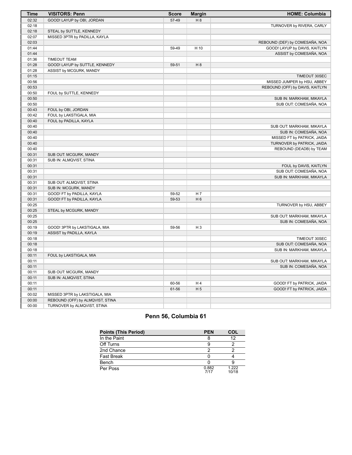| <b>Time</b> | <b>VISITORS: Penn</b>            | <b>Score</b> | <b>Margin</b>  | <b>HOME: Columbia</b>           |
|-------------|----------------------------------|--------------|----------------|---------------------------------|
| 02:32       | GOOD! LAYUP by OBI, JORDAN       | 57-49        | H 8            |                                 |
| 02:18       |                                  |              |                | TURNOVER by RIVERA, CARLY       |
| 02:18       | STEAL by SUTTLE, KENNEDY         |              |                |                                 |
| 02:07       | MISSED 3PTR by PADILLA, KAYLA    |              |                |                                 |
| 02:03       |                                  |              |                | REBOUND (DEF) by COMESAÑA, NOA  |
| 01:44       |                                  | 59-49        | H 10           | GOOD! LAYUP by DAVIS, KAITLYN   |
| 01:44       |                                  |              |                | ASSIST by COMESAÑA, NOA         |
| 01:36       | <b>TIMEOUT TEAM</b>              |              |                |                                 |
| 01:28       | GOOD! LAYUP by SUTTLE, KENNEDY   | 59-51        | H 8            |                                 |
| 01:28       | ASSIST by MCGURK, MANDY          |              |                |                                 |
| 01:15       |                                  |              |                | TIMEOUT 30SEC                   |
| 00:56       |                                  |              |                | MISSED JUMPER by HSU, ABBEY     |
| 00:53       |                                  |              |                | REBOUND (OFF) by DAVIS, KAITLYN |
| 00:50       | FOUL by SUTTLE, KENNEDY          |              |                |                                 |
| 00:50       |                                  |              |                | SUB IN: MARKHAM, MIKAYLA        |
| 00:50       |                                  |              |                | SUB OUT: COMESAÑA, NOA          |
| 00:43       | FOUL by OBI, JORDAN              |              |                |                                 |
| 00:42       | FOUL by LAKSTIGALA, MIA          |              |                |                                 |
| 00:40       | FOUL by PADILLA, KAYLA           |              |                |                                 |
| 00:40       |                                  |              |                | SUB OUT: MARKHAM, MIKAYLA       |
| 00:40       |                                  |              |                | SUB IN: COMESAÑA, NOA           |
| 00:40       |                                  |              |                | MISSED FT by PATRICK, JAIDA     |
| 00:40       |                                  |              |                | TURNOVER by PATRICK, JAIDA      |
| 00:40       |                                  |              |                | REBOUND (DEADB) by TEAM         |
| 00:31       | SUB OUT: MCGURK, MANDY           |              |                |                                 |
| 00:31       | SUB IN: ALMQVIST, STINA          |              |                |                                 |
| 00:31       |                                  |              |                | FOUL by DAVIS, KAITLYN          |
| 00:31       |                                  |              |                | SUB OUT: COMESAÑA, NOA          |
| 00:31       |                                  |              |                | SUB IN: MARKHAM, MIKAYLA        |
| 00:31       | SUB OUT: ALMQVIST, STINA         |              |                |                                 |
| 00:31       | SUB IN: MCGURK, MANDY            |              |                |                                 |
| 00:31       | GOOD! FT by PADILLA, KAYLA       | 59-52        | H 7            |                                 |
| 00:31       | GOOD! FT by PADILLA, KAYLA       | 59-53        | H <sub>6</sub> |                                 |
| 00:25       |                                  |              |                | TURNOVER by HSU, ABBEY          |
| 00:25       | STEAL by MCGURK, MANDY           |              |                |                                 |
| 00:25       |                                  |              |                | SUB OUT: MARKHAM, MIKAYLA       |
| 00:25       |                                  |              |                | SUB IN: COMESAÑA, NOA           |
| 00:19       | GOOD! 3PTR by LAKSTIGALA, MIA    | 59-56        | $H_3$          |                                 |
| 00:19       | ASSIST by PADILLA, KAYLA         |              |                |                                 |
| 00:18       |                                  |              |                | TIMEOUT 30SEC                   |
| 00:18       |                                  |              |                | SUB OUT: COMESAÑA, NOA          |
| 00:18       |                                  |              |                | SUB IN: MARKHAM, MIKAYLA        |
| 00:11       | FOUL by LAKSTIGALA, MIA          |              |                |                                 |
| 00:11       |                                  |              |                | SUB OUT: MARKHAM, MIKAYLA       |
| 00:11       |                                  |              |                | SUB IN: COMESAÑA, NOA           |
| 00:11       | SUB OUT: MCGURK, MANDY           |              |                |                                 |
| 00:11       | SUB IN: ALMQVIST, STINA          |              |                |                                 |
| 00:11       |                                  | 60-56        | H <sub>4</sub> | GOOD! FT by PATRICK, JAIDA      |
| 00:11       |                                  | 61-56        | H <sub>5</sub> | GOOD! FT by PATRICK, JAIDA      |
| 00:02       | MISSED 3PTR by LAKSTIGALA, MIA   |              |                |                                 |
| 00:00       | REBOUND (OFF) by ALMQVIST, STINA |              |                |                                 |
| 00:00       | TURNOVER by ALMQVIST, STINA      |              |                |                                 |

# **Penn 56, Columbia 61**

| <b>Points (This Period)</b> | <b>PEN</b>    | COL            |
|-----------------------------|---------------|----------------|
| In the Paint                |               | 12             |
| Off Turns                   | 9             |                |
| 2nd Chance                  | າ             |                |
| <b>Fast Break</b>           |               |                |
| Bench                       |               |                |
| Per Poss                    | 0.882<br>7/17 | 1 222<br>10/18 |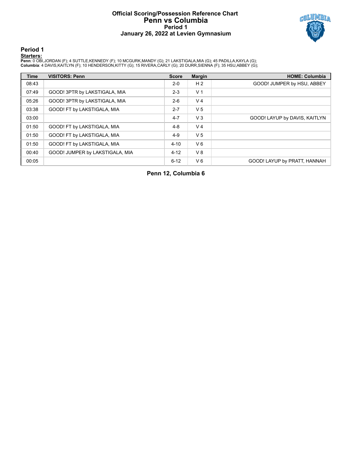## **Official Scoring/Possession Reference Chart Penn vs Columbia Period 1 January 26, 2022 at Levien Gymnasium**



**Period 1**

<mark>Starters:</mark><br>Penn: 0 OBI,JORDAN (F); 4 SUTTLE,KENNEDY (F); 10 MCGURK,MANDY (G); 21 LAKSTIGALA,MIA (G); 45 PADILLA,KAYLA (G);<br>**Columbia**: 4 DAVIS,KAITLYN (F); 10 HENDERSON,KITTY (G); 15 RIVERA,CARLY (G); 20 DURR,SIENNA (F);

| <b>Time</b> | <b>VISITORS: Penn</b>           | <b>Score</b> | <b>Margin</b>  | <b>HOME: Columbia</b>         |
|-------------|---------------------------------|--------------|----------------|-------------------------------|
| 08:43       |                                 | $2 - 0$      | H <sub>2</sub> | GOOD! JUMPER by HSU, ABBEY    |
| 07:49       | GOOD! 3PTR by LAKSTIGALA, MIA   | $2 - 3$      | V <sub>1</sub> |                               |
| 05:26       | GOOD! 3PTR by LAKSTIGALA, MIA   | $2-6$        | V <sub>4</sub> |                               |
| 03:38       | GOOD! FT by LAKSTIGALA, MIA     | $2 - 7$      | V <sub>5</sub> |                               |
| 03:00       |                                 | $4 - 7$      | $V_3$          | GOOD! LAYUP by DAVIS, KAITLYN |
| 01:50       | GOOD! FT by LAKSTIGALA, MIA     | $4 - 8$      | V <sub>4</sub> |                               |
| 01:50       | GOOD! FT by LAKSTIGALA, MIA     | $4 - 9$      | V <sub>5</sub> |                               |
| 01:50       | GOOD! FT by LAKSTIGALA, MIA     | $4 - 10$     | $V_6$          |                               |
| 00:40       | GOOD! JUMPER by LAKSTIGALA, MIA | $4 - 12$     | V8             |                               |
| 00:05       |                                 | $6 - 12$     | V6             | GOOD! LAYUP by PRATT, HANNAH  |

**Penn 12, Columbia 6**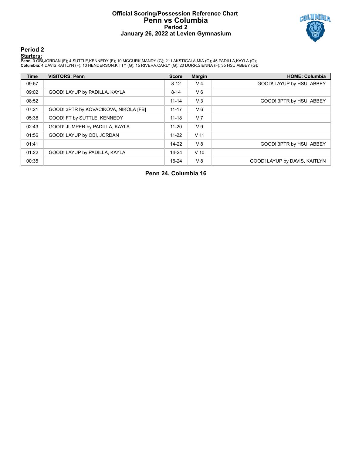## **Official Scoring/Possession Reference Chart Penn vs Columbia Period 2 January 26, 2022 at Levien Gymnasium**



# **Period 2**

### **Starters:**

**Penn**: 0 OBI,JORDAN (F); 4 SUTTLE,KENNEDY (F); 10 MCGURK,MANDY (G); 21 LAKSTIGALA,MIA (G); 45 PADILLA,KAYLA (G);<br>**Columbia**: 4 DAVIS,KAITLYN (F); 10 HENDERSON,KITTY (G); 15 RIVERA,CARLY (G); 20 DURR,SIENNA (F); 35 HSU,ABB

| <b>Time</b> | <b>VISITORS: Penn</b>                 | <b>Score</b> | <b>Margin</b>   | <b>HOME: Columbia</b>         |
|-------------|---------------------------------------|--------------|-----------------|-------------------------------|
| 09:57       |                                       | $8 - 12$     | V <sub>4</sub>  | GOOD! LAYUP by HSU, ABBEY     |
| 09:02       | GOOD! LAYUP by PADILLA, KAYLA         | $8 - 14$     | $V_6$           |                               |
| 08:52       |                                       | $11 - 14$    | $V_3$           | GOOD! 3PTR by HSU, ABBEY      |
| 07:21       | GOOD! 3PTR by KOVACIKOVA, NIKOLA [FB] | $11 - 17$    | $V_6$           |                               |
| 05:38       | GOOD! FT by SUTTLE, KENNEDY           | $11 - 18$    | V <sub>7</sub>  |                               |
| 02:43       | GOOD! JUMPER by PADILLA, KAYLA        | $11 - 20$    | V <sub>9</sub>  |                               |
| 01:56       | GOOD! LAYUP by OBI, JORDAN            | $11 - 22$    | V <sub>11</sub> |                               |
| 01:41       |                                       | $14-22$      | V8              | GOOD! 3PTR by HSU, ABBEY      |
| 01:22       | GOOD! LAYUP by PADILLA, KAYLA         | $14 - 24$    | $V$ 10          |                               |
| 00:35       |                                       | $16 - 24$    | $V_8$           | GOOD! LAYUP by DAVIS, KAITLYN |

**Penn 24, Columbia 16**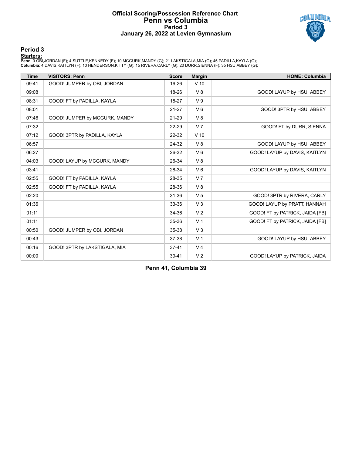## **Official Scoring/Possession Reference Chart Penn vs Columbia Period 3 January 26, 2022 at Levien Gymnasium**



# **Period 3**

<mark>Starters:</mark><br>Penn: 0 OBI,JORDAN (F); 4 SUTTLE,KENNEDY (F); 10 MCGURK,MANDY (G); 21 LAKSTIGALA,MIA (G); 45 PADILLA,KAYLA (G);<br>**Columbia**: 4 DAVIS,KAITLYN (F); 10 HENDERSON,KITTY (G); 15 RIVERA,CARLY (G); 20 DURR,SIENNA (F);

| <b>Time</b> | <b>VISITORS: Penn</b>         | <b>Score</b> | <b>Margin</b>  | <b>HOME: Columbia</b>           |
|-------------|-------------------------------|--------------|----------------|---------------------------------|
| 09:41       | GOOD! JUMPER by OBI, JORDAN   | 16-26        | $V$ 10         |                                 |
| 09:08       |                               | 18-26        | V8             | GOOD! LAYUP by HSU, ABBEY       |
| 08:31       | GOOD! FT by PADILLA, KAYLA    | 18-27        | V <sub>9</sub> |                                 |
| 08:01       |                               | $21 - 27$    | $V_6$          | GOOD! 3PTR by HSU, ABBEY        |
| 07:46       | GOOD! JUMPER by MCGURK, MANDY | 21-29        | V8             |                                 |
| 07:32       |                               | 22-29        | V <sub>7</sub> | GOOD! FT by DURR, SIENNA        |
| 07:12       | GOOD! 3PTR by PADILLA, KAYLA  | 22-32        | $V$ 10         |                                 |
| 06:57       |                               | 24-32        | V8             | GOOD! LAYUP by HSU, ABBEY       |
| 06:27       |                               | 26-32        | $V_6$          | GOOD! LAYUP by DAVIS, KAITLYN   |
| 04:03       | GOOD! LAYUP by MCGURK, MANDY  | 26-34        | V8             |                                 |
| 03:41       |                               | 28-34        | V <sub>6</sub> | GOOD! LAYUP by DAVIS, KAITLYN   |
| 02:55       | GOOD! FT by PADILLA, KAYLA    | 28-35        | V <sub>7</sub> |                                 |
| 02:55       | GOOD! FT by PADILLA, KAYLA    | 28-36        | V8             |                                 |
| 02:20       |                               | 31-36        | V <sub>5</sub> | GOOD! 3PTR by RIVERA, CARLY     |
| 01:36       |                               | 33-36        | V <sub>3</sub> | GOOD! LAYUP by PRATT, HANNAH    |
| 01:11       |                               | 34-36        | V <sub>2</sub> | GOOD! FT by PATRICK, JAIDA [FB] |
| 01:11       |                               | 35-36        | V <sub>1</sub> | GOOD! FT by PATRICK, JAIDA [FB] |
| 00:50       | GOOD! JUMPER by OBI, JORDAN   | 35-38        | V <sub>3</sub> |                                 |
| 00:43       |                               | 37-38        | V <sub>1</sub> | GOOD! LAYUP by HSU, ABBEY       |
| 00:16       | GOOD! 3PTR by LAKSTIGALA, MIA | $37 - 41$    | V <sub>4</sub> |                                 |
| 00:00       |                               | 39-41        | V <sub>2</sub> | GOOD! LAYUP by PATRICK, JAIDA   |

**Penn 41, Columbia 39**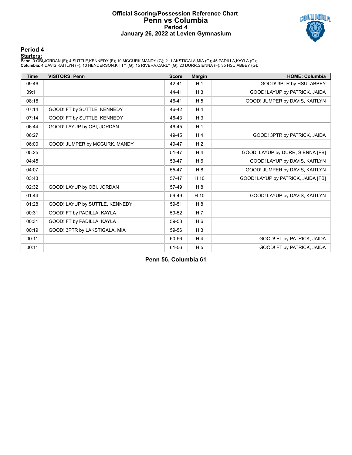### **Official Scoring/Possession Reference Chart Penn vs Columbia Period 4 January 26, 2022 at Levien Gymnasium**



### **Period 4**

### **Starters:**

**Penn**: 0 OBI,JORDAN (F); 4 SUTTLE,KENNEDY (F); 10 MCGURK,MANDY (G); 21 LAKSTIGALA,MIA (G); 45 PADILLA,KAYLA (G);<br>**Columbia**: 4 DAVIS,KAITLYN (F); 10 HENDERSON,KITTY (G); 15 RIVERA,CARLY (G); 20 DURR,SIENNA (F); 35 HSU,ABB

| <b>Time</b> | <b>VISITORS: Penn</b>          | <b>Score</b> | <b>Margin</b>  | <b>HOME: Columbia</b>              |
|-------------|--------------------------------|--------------|----------------|------------------------------------|
| 09:46       |                                | $42 - 41$    | H <sub>1</sub> | GOOD! 3PTR by HSU, ABBEY           |
| 09:11       |                                | 44-41        | $H_3$          | GOOD! LAYUP by PATRICK, JAIDA      |
| 08:18       |                                | 46-41        | H <sub>5</sub> | GOOD! JUMPER by DAVIS, KAITLYN     |
| 07:14       | GOOD! FT by SUTTLE, KENNEDY    | 46-42        | H <sub>4</sub> |                                    |
| 07:14       | GOOD! FT by SUTTLE, KENNEDY    | 46-43        | $H_3$          |                                    |
| 06:44       | GOOD! LAYUP by OBI, JORDAN     | 46-45        | H <sub>1</sub> |                                    |
| 06:27       |                                | 49-45        | H <sub>4</sub> | GOOD! 3PTR by PATRICK, JAIDA       |
| 06:00       | GOOD! JUMPER by MCGURK, MANDY  | 49-47        | H <sub>2</sub> |                                    |
| 05:25       |                                | 51-47        | H <sub>4</sub> | GOOD! LAYUP by DURR, SIENNA [FB]   |
| 04:45       |                                | 53-47        | $H_6$          | GOOD! LAYUP by DAVIS, KAITLYN      |
| 04:07       |                                | 55-47        | H 8            | GOOD! JUMPER by DAVIS, KAITLYN     |
| 03:43       |                                | 57-47        | H 10           | GOOD! LAYUP by PATRICK, JAIDA [FB] |
| 02:32       | GOOD! LAYUP by OBI, JORDAN     | 57-49        | H8             |                                    |
| 01:44       |                                | 59-49        | H 10           | GOOD! LAYUP by DAVIS, KAITLYN      |
| 01:28       | GOOD! LAYUP by SUTTLE, KENNEDY | 59-51        | H <sub>8</sub> |                                    |
| 00:31       | GOOD! FT by PADILLA, KAYLA     | 59-52        | H <sub>7</sub> |                                    |
| 00:31       | GOOD! FT by PADILLA, KAYLA     | 59-53        | H <sub>6</sub> |                                    |
| 00:19       | GOOD! 3PTR by LAKSTIGALA, MIA  | 59-56        | $H_3$          |                                    |
| 00:11       |                                | 60-56        | H <sub>4</sub> | GOOD! FT by PATRICK, JAIDA         |
| 00:11       |                                | 61-56        | H <sub>5</sub> | GOOD! FT by PATRICK, JAIDA         |

**Penn 56, Columbia 61**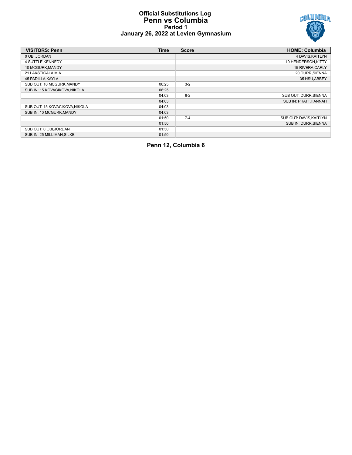## **Official Substitutions Log Penn vs Columbia Period 1 January 26, 2022 at Levien Gymnasium**



| <b>VISITORS: Penn</b>          | <b>Time</b> | <b>Score</b> | <b>HOME: Columbia</b>       |
|--------------------------------|-------------|--------------|-----------------------------|
| 0 OBI, JORDAN                  |             |              | 4 DAVIS, KAITLYN            |
| 4 SUTTLE, KENNEDY              |             |              | 10 HENDERSON, KITTY         |
| 10 MCGURK, MANDY               |             |              | 15 RIVERA, CARLY            |
| 21 LAKSTIGALA, MIA             |             |              | 20 DURR, SIENNA             |
| 45 PADILLA, KAYLA              |             |              | 35 HSU, ABBEY               |
| SUB OUT: 10 MCGURK, MANDY      | 06:25       | $3 - 2$      |                             |
| SUB IN: 15 KOVACIKOVA, NIKOLA  | 06:25       |              |                             |
|                                | 04:03       | $6 - 2$      | SUB OUT: DURR, SIENNA       |
|                                | 04:03       |              | <b>SUB IN: PRATT.HANNAH</b> |
| SUB OUT: 15 KOVACIKOVA, NIKOLA | 04:03       |              |                             |
| SUB IN: 10 MCGURK, MANDY       | 04:03       |              |                             |
|                                | 01:50       | $7 - 4$      | SUB OUT: DAVIS, KAITLYN     |
|                                | 01:50       |              | SUB IN: DURR.SIENNA         |
| SUB OUT: 0 OBI, JORDAN         | 01:50       |              |                             |
| SUB IN: 25 MILLIMAN.SILKE      | 01:50       |              |                             |

**Penn 12, Columbia 6**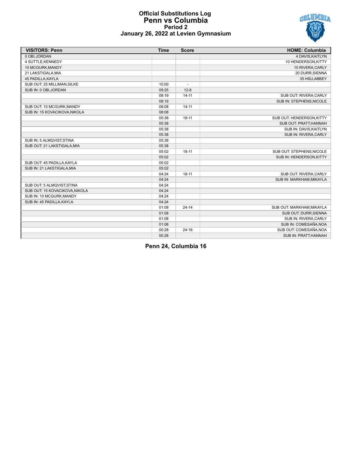

## **Official Substitutions Log Penn vs Columbia Period 2 January 26, 2022 at Levien Gymnasium**

| <b>VISITORS: Penn</b>          | <b>Time</b> | <b>Score</b>             | <b>HOME: Columbia</b>     |
|--------------------------------|-------------|--------------------------|---------------------------|
| 0 OBI, JORDAN                  |             |                          | 4 DAVIS, KAITLYN          |
| 4 SUTTLE, KENNEDY              |             |                          | 10 HENDERSON, KITTY       |
| 10 MCGURK, MANDY               |             |                          | 15 RIVERA, CARLY          |
| 21 LAKSTIGALA, MIA             |             |                          | 20 DURR, SIENNA           |
| 45 PADILLA, KAYLA              |             |                          | 35 HSU, ABBEY             |
| SUB OUT: 25 MILLIMAN, SILKE    | 10:00       | $\overline{\phantom{a}}$ |                           |
| SUB IN: 0 OBI, JORDAN          | 09:25       | $12 - 8$                 |                           |
|                                | 08:19       | $14 - 11$                | SUB OUT: RIVERA, CARLY    |
|                                | 08:19       |                          | SUB IN: STEPHENS, NICOLE  |
| SUB OUT: 10 MCGURK, MANDY      | 08:08       | $14 - 11$                |                           |
| SUB IN: 15 KOVACIKOVA.NIKOLA   | 08:08       |                          |                           |
|                                | 05:38       | $18 - 11$                | SUB OUT: HENDERSON, KITTY |
|                                | 05:38       |                          | SUB OUT: PRATT, HANNAH    |
|                                | 05:38       |                          | SUB IN: DAVIS, KAITLYN    |
|                                | 05:38       |                          | SUB IN: RIVERA, CARLY     |
| SUB IN: 5 ALMQVIST, STINA      | 05:38       |                          |                           |
| SUB OUT: 21 LAKSTIGALA, MIA    | 05:38       |                          |                           |
|                                | 05:02       | $18 - 11$                | SUB OUT: STEPHENS, NICOLE |
|                                | 05:02       |                          | SUB IN: HENDERSON, KITTY  |
| SUB OUT: 45 PADILLA, KAYLA     | 05:02       |                          |                           |
| SUB IN: 21 LAKSTIGALA, MIA     | 05:02       |                          |                           |
|                                | 04:24       | $18 - 11$                | SUB OUT: RIVERA, CARLY    |
|                                | 04:24       |                          | SUB IN: MARKHAM, MIKAYLA  |
| SUB OUT: 5 ALMQVIST, STINA     | 04:24       |                          |                           |
| SUB OUT: 15 KOVACIKOVA, NIKOLA | 04:24       |                          |                           |
| SUB IN: 10 MCGURK, MANDY       | 04:24       |                          |                           |
| SUB IN: 45 PADILLA, KAYLA      | 04:24       |                          |                           |
|                                | 01:08       | $24 - 14$                | SUB OUT: MARKHAM, MIKAYLA |
|                                | 01:08       |                          | SUB OUT: DURR, SIENNA     |
|                                | 01:08       |                          | SUB IN: RIVERA, CARLY     |
|                                | 01:08       |                          | SUB IN: COMESAÑA, NOA     |
|                                | 00:28       | $24 - 16$                | SUB OUT: COMESAÑA, NOA    |
|                                | 00:28       |                          | SUB IN: PRATT, HANNAH     |

**Penn 24, Columbia 16**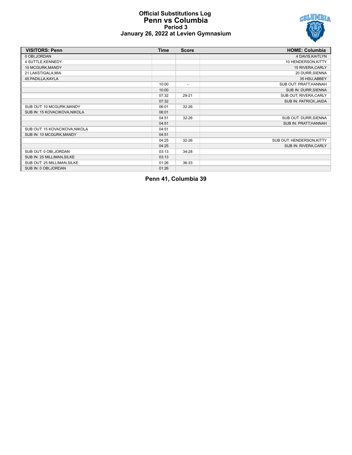

## **Official Substitutions Log Penn vs Columbia Period 3 January 26, 2022 at Levien Gymnasium**

| <b>VISITORS: Penn</b>          | <b>Time</b> | <b>Score</b>             | <b>HOME: Columbia</b>     |
|--------------------------------|-------------|--------------------------|---------------------------|
| 0 OBI, JORDAN                  |             |                          | 4 DAVIS, KAITLYN          |
| 4 SUTTLE, KENNEDY              |             |                          | 10 HENDERSON, KITTY       |
| 10 MCGURK, MANDY               |             |                          | 15 RIVERA, CARLY          |
| 21 LAKSTIGALA, MIA             |             |                          | 20 DURR, SIENNA           |
| 45 PADILLA, KAYLA              |             |                          | 35 HSU, ABBEY             |
|                                | 10:00       | $\overline{\phantom{a}}$ | SUB OUT: PRATT, HANNAH    |
|                                | 10:00       |                          | SUB IN: DURR, SIENNA      |
|                                | 07:32       | 29-21                    | SUB OUT: RIVERA, CARLY    |
|                                | 07:32       |                          | SUB IN: PATRICK, JAIDA    |
| SUB OUT: 10 MCGURK, MANDY      | 06:01       | $32 - 26$                |                           |
| SUB IN: 15 KOVACIKOVA, NIKOLA  | 06:01       |                          |                           |
|                                | 04:51       | 32-26                    | SUB OUT: DURR, SIENNA     |
|                                | 04:51       |                          | SUB IN: PRATT, HANNAH     |
| SUB OUT: 15 KOVACIKOVA, NIKOLA | 04:51       |                          |                           |
| SUB IN: 10 MCGURK, MANDY       | 04:51       |                          |                           |
|                                | 04:25       | $32 - 26$                | SUB OUT: HENDERSON, KITTY |
|                                | 04:25       |                          | SUB IN: RIVERA, CARLY     |
| SUB OUT: 0 OBI, JORDAN         | 03:13       | 34-28                    |                           |
| SUB IN: 25 MILLIMAN, SILKE     | 03:13       |                          |                           |
| SUB OUT: 25 MILLIMAN, SILKE    | 01:26       | 36-33                    |                           |
| SUB IN: 0 OBI, JORDAN          | 01:26       |                          |                           |

**Penn 41, Columbia 39**